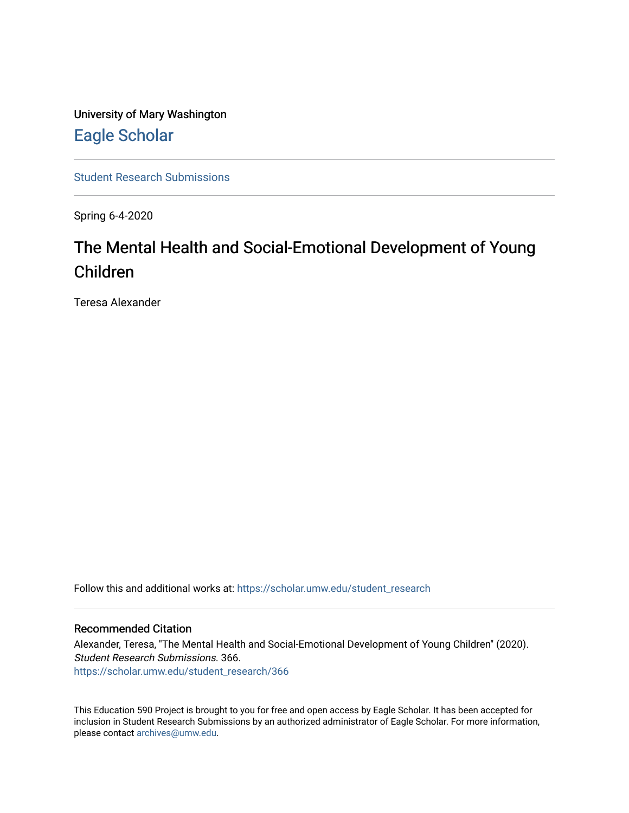University of Mary Washington [Eagle Scholar](https://scholar.umw.edu/) 

[Student Research Submissions](https://scholar.umw.edu/student_research) 

Spring 6-4-2020

# The Mental Health and Social-Emotional Development of Young Children

Teresa Alexander

Follow this and additional works at: [https://scholar.umw.edu/student\\_research](https://scholar.umw.edu/student_research?utm_source=scholar.umw.edu%2Fstudent_research%2F366&utm_medium=PDF&utm_campaign=PDFCoverPages)

#### Recommended Citation

Alexander, Teresa, "The Mental Health and Social-Emotional Development of Young Children" (2020). Student Research Submissions. 366. [https://scholar.umw.edu/student\\_research/366](https://scholar.umw.edu/student_research/366?utm_source=scholar.umw.edu%2Fstudent_research%2F366&utm_medium=PDF&utm_campaign=PDFCoverPages)

This Education 590 Project is brought to you for free and open access by Eagle Scholar. It has been accepted for inclusion in Student Research Submissions by an authorized administrator of Eagle Scholar. For more information, please contact [archives@umw.edu.](mailto:archives@umw.edu)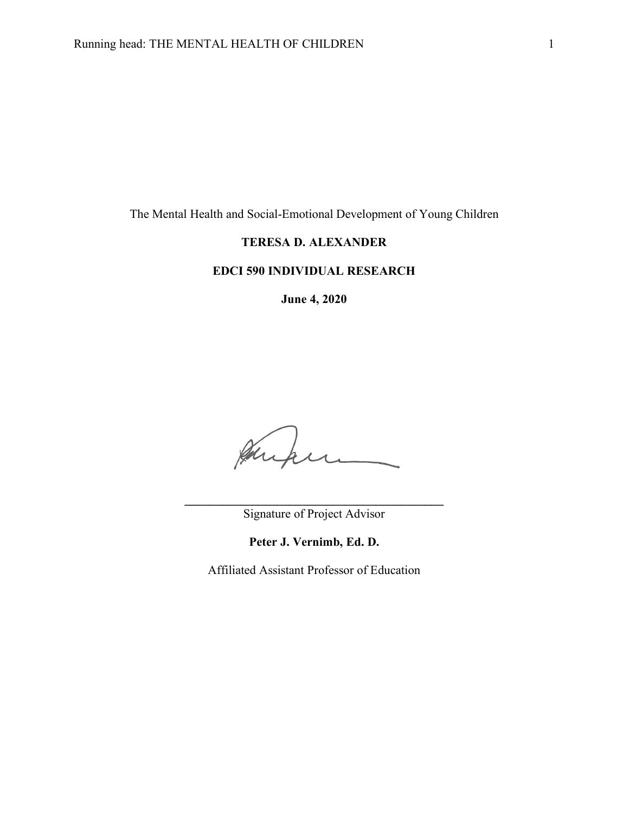The Mental Health and Social-Emotional Development of Young Children

# **TERESA D. ALEXANDER**

# **EDCI 590 INDIVIDUAL RESEARCH**

**June 4, 2020**

August 

**\_\_\_\_\_\_\_\_\_\_\_\_\_\_\_\_\_\_\_\_\_\_\_\_\_\_\_\_\_\_\_\_\_\_\_\_\_\_\_\_\_\_** Signature of Project Advisor

**Peter J. Vernimb, Ed. D.**

Affiliated Assistant Professor of Education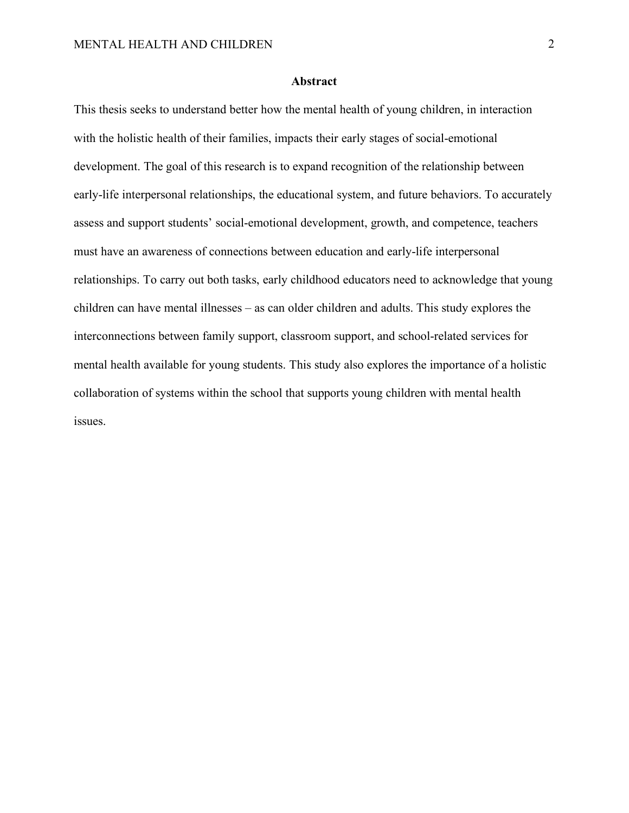# **Abstract**

This thesis seeks to understand better how the mental health of young children, in interaction with the holistic health of their families, impacts their early stages of social-emotional development. The goal of this research is to expand recognition of the relationship between early-life interpersonal relationships, the educational system, and future behaviors. To accurately assess and support students' social-emotional development, growth, and competence, teachers must have an awareness of connections between education and early-life interpersonal relationships. To carry out both tasks, early childhood educators need to acknowledge that young children can have mental illnesses – as can older children and adults. This study explores the interconnections between family support, classroom support, and school-related services for mental health available for young students. This study also explores the importance of a holistic collaboration of systems within the school that supports young children with mental health issues.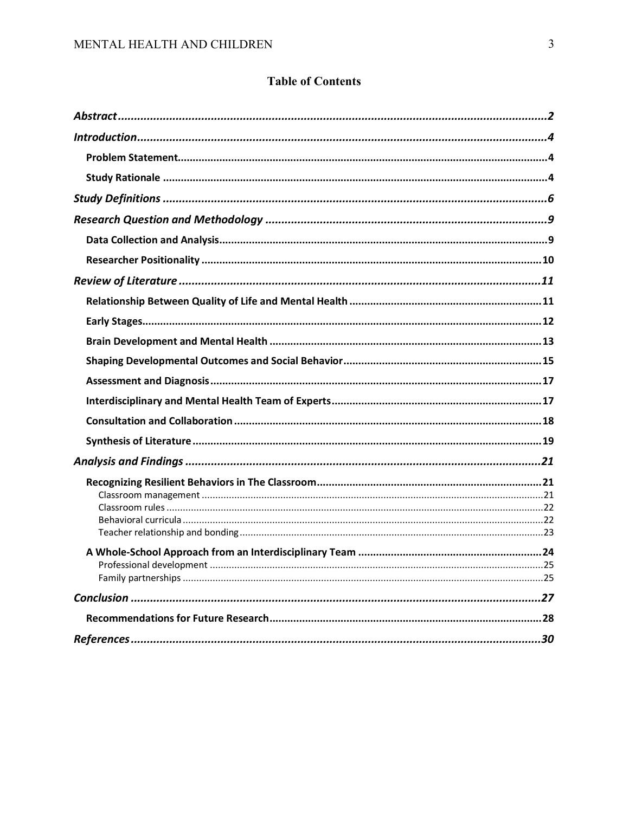# **Table of Contents**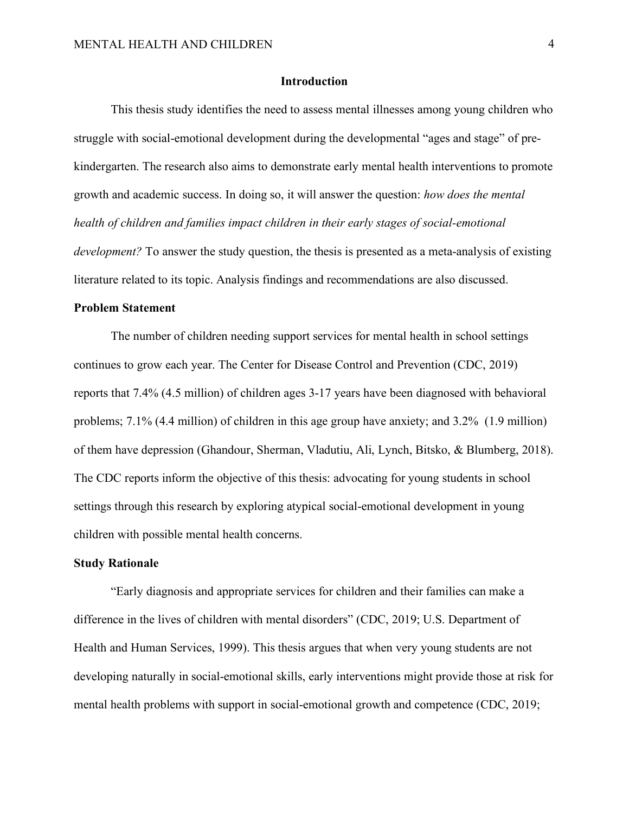#### **Introduction**

This thesis study identifies the need to assess mental illnesses among young children who struggle with social-emotional development during the developmental "ages and stage" of prekindergarten. The research also aims to demonstrate early mental health interventions to promote growth and academic success. In doing so, it will answer the question: *how does the mental health of children and families impact children in their early stages of social-emotional development?* To answer the study question, the thesis is presented as a meta-analysis of existing literature related to its topic. Analysis findings and recommendations are also discussed.

#### **Problem Statement**

The number of children needing support services for mental health in school settings continues to grow each year. The Center for Disease Control and Prevention (CDC, 2019) reports that 7.4% (4.5 million) of children ages 3-17 years have been diagnosed with behavioral problems; 7.1% (4.4 million) of children in this age group have anxiety; and 3.2% (1.9 million) of them have depression (Ghandour, Sherman, Vladutiu, Ali, Lynch, Bitsko, & Blumberg, 2018). The CDC reports inform the objective of this thesis: advocating for young students in school settings through this research by exploring atypical social-emotional development in young children with possible mental health concerns.

#### **Study Rationale**

"Early diagnosis and appropriate services for children and their families can make a difference in the lives of children with mental disorders" (CDC, 2019; U.S. Department of Health and Human Services, 1999). This thesis argues that when very young students are not developing naturally in social-emotional skills, early interventions might provide those at risk for mental health problems with support in social-emotional growth and competence (CDC, 2019;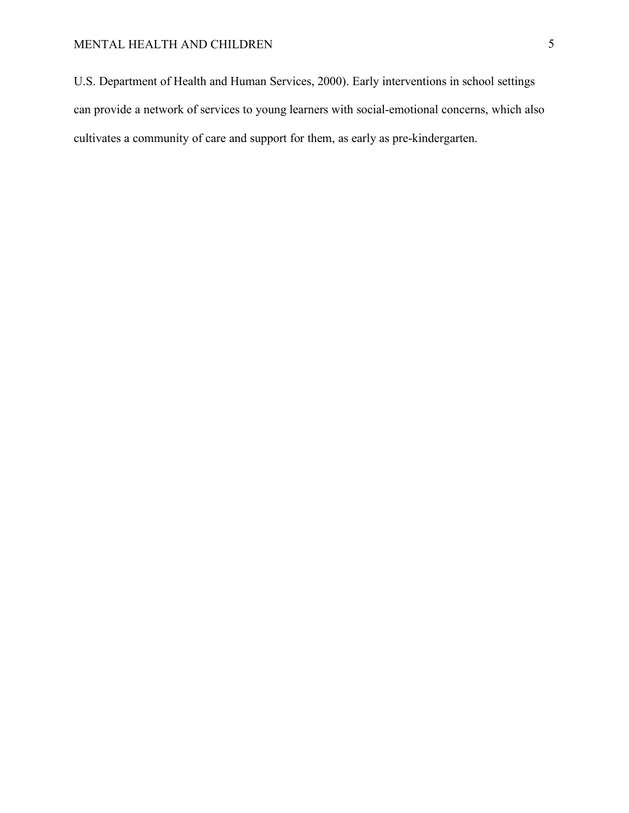# MENTAL HEALTH AND CHILDREN 5

U.S. Department of Health and Human Services, 2000). Early interventions in school settings can provide a network of services to young learners with social-emotional concerns, which also cultivates a community of care and support for them, as early as pre-kindergarten.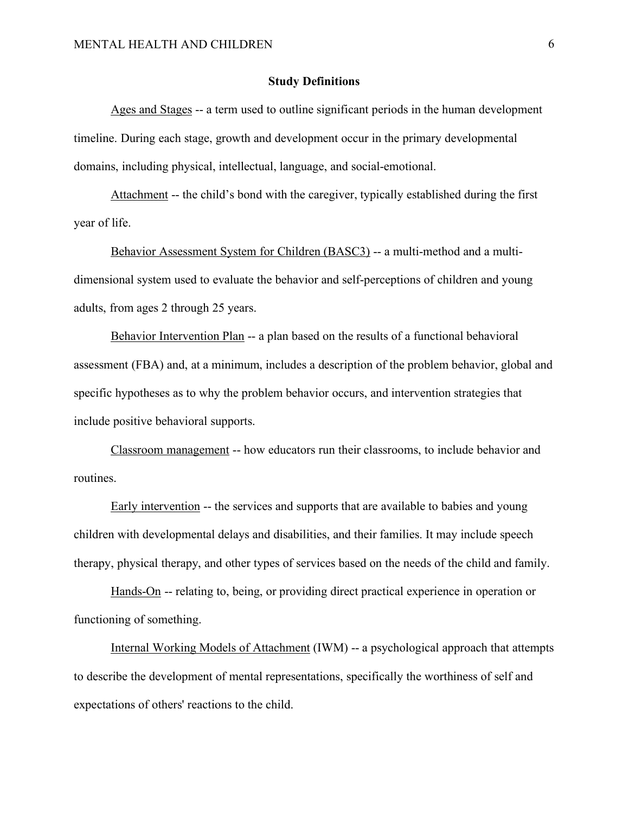#### **Study Definitions**

Ages and Stages -- a term used to outline significant periods in the human development timeline. During each stage, growth and development occur in the primary developmental domains, including physical, intellectual, language, and social-emotional.

Attachment -- the child's bond with the caregiver, typically established during the first year of life.

Behavior Assessment System for Children (BASC3) -- a multi-method and a multidimensional system used to evaluate the behavior and self-perceptions of children and young adults, from ages 2 through 25 years.

Behavior Intervention Plan -- a plan based on the results of a functional behavioral assessment (FBA) and, at a minimum, includes a description of the problem behavior, global and specific hypotheses as to why the problem behavior occurs, and intervention strategies that include positive behavioral supports.

Classroom management -- how educators run their classrooms, to include behavior and routines.

Early intervention -- the services and supports that are available to babies and young children with developmental delays and disabilities, and their families. It may include speech therapy, physical therapy, and other types of services based on the needs of the child and family.

Hands-On -- relating to, being, or providing direct practical experience in operation or functioning of something.

Internal Working Models of Attachment (IWM) -- a psychological approach that attempts to describe the development of mental representations, specifically the worthiness of self and expectations of others' reactions to the child.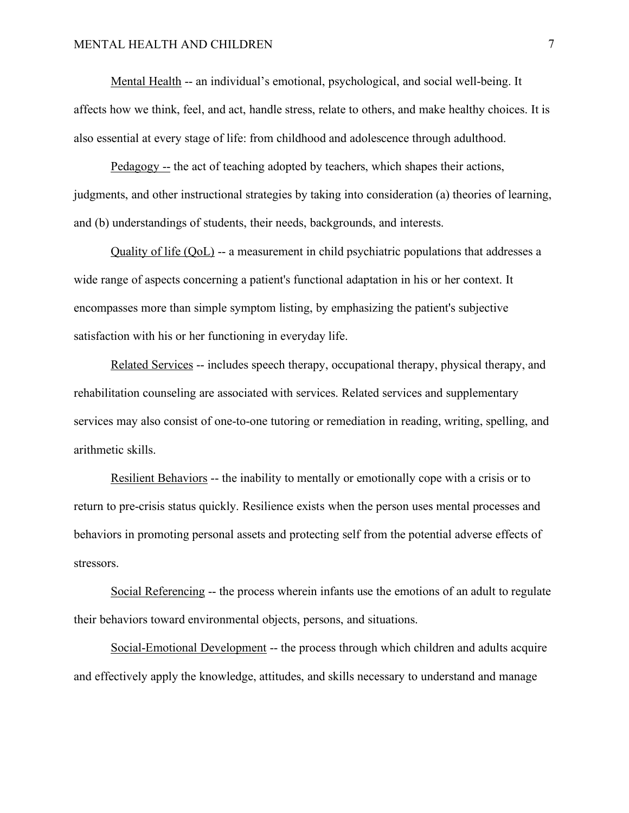Mental Health -- an individual's emotional, psychological, and social well-being. It affects how we think, feel, and act, handle stress, relate to others, and make healthy choices. It is also essential at every stage of life: from childhood and adolescence through adulthood.

Pedagogy -- the act of teaching adopted by teachers, which shapes their actions, judgments, and other instructional strategies by taking into consideration (a) theories of learning, and (b) understandings of students, their needs, backgrounds, and interests.

Quality of life (QoL) -- a measurement in child psychiatric populations that addresses a wide range of aspects concerning a patient's functional adaptation in his or her context. It encompasses more than simple symptom listing, by emphasizing the patient's subjective satisfaction with his or her functioning in everyday life.

Related Services -- includes speech therapy, occupational therapy, physical therapy, and rehabilitation counseling are associated with services. Related services and supplementary services may also consist of one-to-one tutoring or remediation in reading, writing, spelling, and arithmetic skills.

Resilient Behaviors -- the inability to mentally or emotionally cope with a crisis or to return to pre-crisis status quickly. Resilience exists when the person uses mental processes and behaviors in promoting personal assets and protecting self from the potential adverse effects of stressors.

Social Referencing -- the process wherein infants use the emotions of an adult to regulate their behaviors toward environmental objects, persons, and situations.

Social-Emotional Development -- the process through which children and adults acquire and effectively apply the knowledge, attitudes, and skills necessary to understand and manage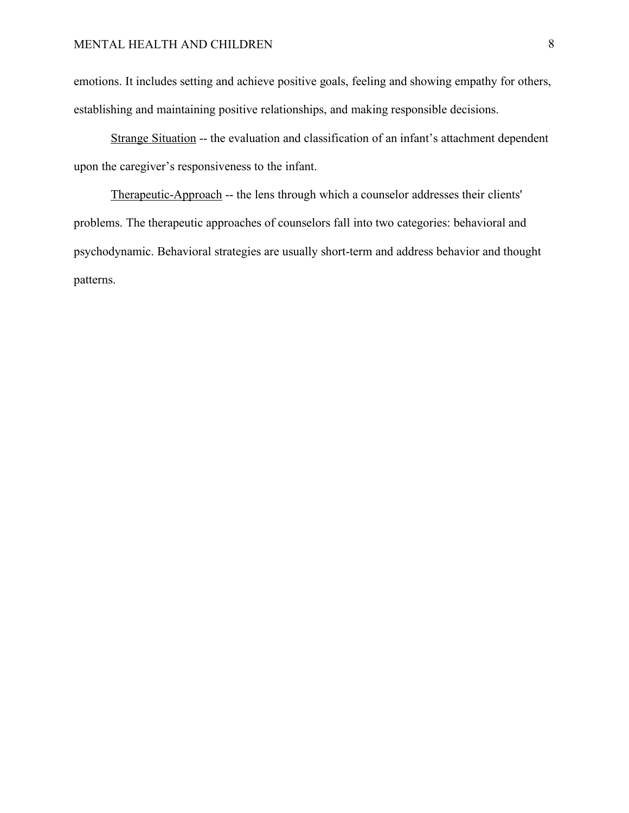emotions. It includes setting and achieve positive goals, feeling and showing empathy for others, establishing and maintaining positive relationships, and making responsible decisions.

Strange Situation -- the evaluation and classification of an infant's attachment dependent upon the caregiver's responsiveness to the infant.

Therapeutic-Approach -- the lens through which a counselor addresses their clients' problems. The therapeutic approaches of counselors fall into two categories: behavioral and psychodynamic. Behavioral strategies are usually short-term and address behavior and thought patterns.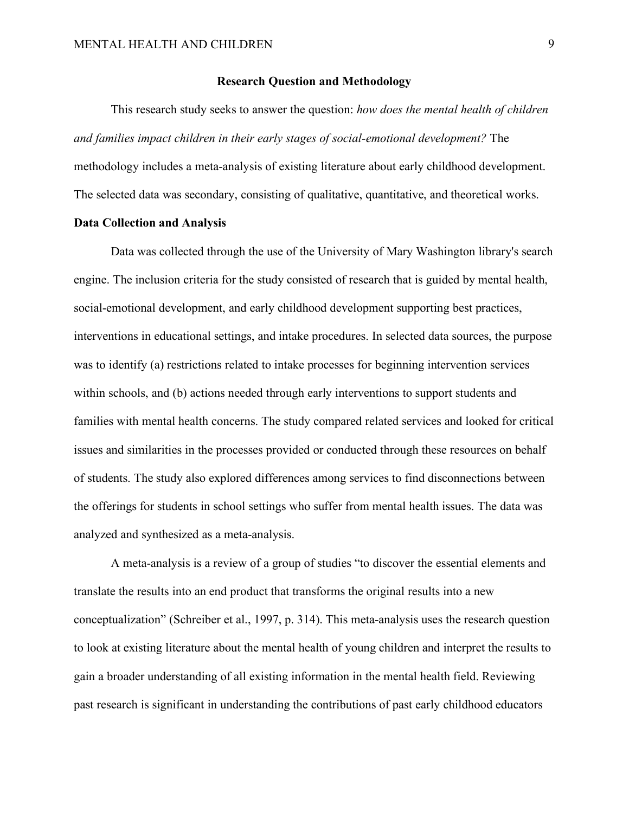#### **Research Question and Methodology**

This research study seeks to answer the question: *how does the mental health of children and families impact children in their early stages of social-emotional development?* The methodology includes a meta-analysis of existing literature about early childhood development. The selected data was secondary, consisting of qualitative, quantitative, and theoretical works.

## **Data Collection and Analysis**

Data was collected through the use of the University of Mary Washington library's search engine. The inclusion criteria for the study consisted of research that is guided by mental health, social-emotional development, and early childhood development supporting best practices, interventions in educational settings, and intake procedures. In selected data sources, the purpose was to identify (a) restrictions related to intake processes for beginning intervention services within schools, and (b) actions needed through early interventions to support students and families with mental health concerns. The study compared related services and looked for critical issues and similarities in the processes provided or conducted through these resources on behalf of students. The study also explored differences among services to find disconnections between the offerings for students in school settings who suffer from mental health issues. The data was analyzed and synthesized as a meta-analysis.

A meta-analysis is a review of a group of studies "to discover the essential elements and translate the results into an end product that transforms the original results into a new conceptualization" (Schreiber et al., 1997, p. 314). This meta-analysis uses the research question to look at existing literature about the mental health of young children and interpret the results to gain a broader understanding of all existing information in the mental health field. Reviewing past research is significant in understanding the contributions of past early childhood educators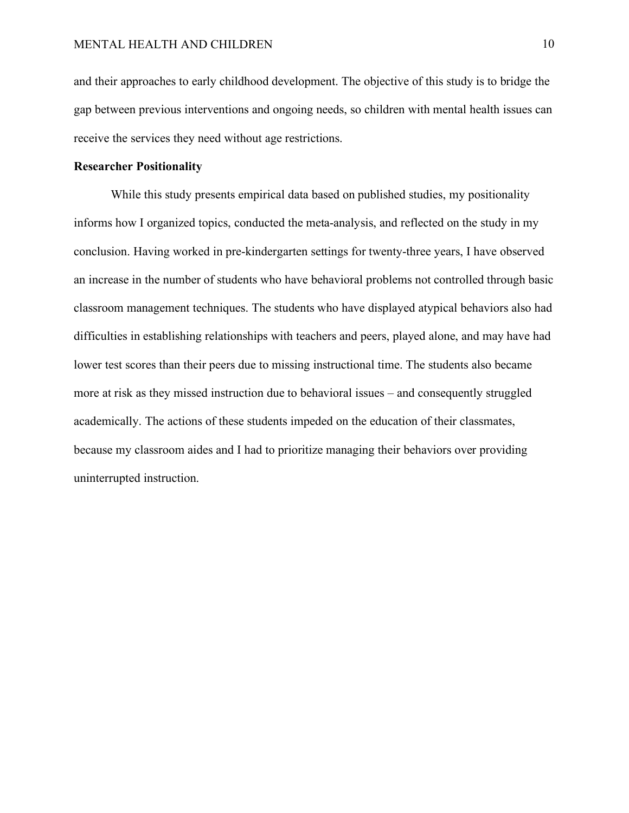and their approaches to early childhood development. The objective of this study is to bridge the gap between previous interventions and ongoing needs, so children with mental health issues can receive the services they need without age restrictions.

#### **Researcher Positionality**

While this study presents empirical data based on published studies, my positionality informs how I organized topics, conducted the meta-analysis, and reflected on the study in my conclusion. Having worked in pre-kindergarten settings for twenty-three years, I have observed an increase in the number of students who have behavioral problems not controlled through basic classroom management techniques. The students who have displayed atypical behaviors also had difficulties in establishing relationships with teachers and peers, played alone, and may have had lower test scores than their peers due to missing instructional time. The students also became more at risk as they missed instruction due to behavioral issues – and consequently struggled academically. The actions of these students impeded on the education of their classmates, because my classroom aides and I had to prioritize managing their behaviors over providing uninterrupted instruction.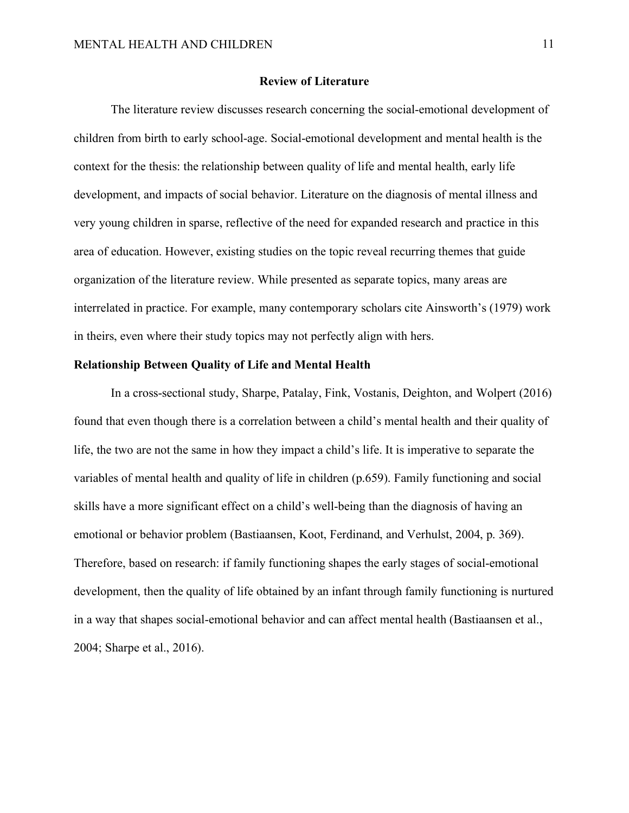#### **Review of Literature**

The literature review discusses research concerning the social-emotional development of children from birth to early school-age. Social-emotional development and mental health is the context for the thesis: the relationship between quality of life and mental health, early life development, and impacts of social behavior. Literature on the diagnosis of mental illness and very young children in sparse, reflective of the need for expanded research and practice in this area of education. However, existing studies on the topic reveal recurring themes that guide organization of the literature review. While presented as separate topics, many areas are interrelated in practice. For example, many contemporary scholars cite Ainsworth's (1979) work in theirs, even where their study topics may not perfectly align with hers.

# **Relationship Between Quality of Life and Mental Health**

In a cross-sectional study, Sharpe, Patalay, Fink, Vostanis, Deighton, and Wolpert (2016) found that even though there is a correlation between a child's mental health and their quality of life, the two are not the same in how they impact a child's life. It is imperative to separate the variables of mental health and quality of life in children (p.659). Family functioning and social skills have a more significant effect on a child's well-being than the diagnosis of having an emotional or behavior problem (Bastiaansen, Koot, Ferdinand, and Verhulst, 2004, p. 369). Therefore, based on research: if family functioning shapes the early stages of social-emotional development, then the quality of life obtained by an infant through family functioning is nurtured in a way that shapes social-emotional behavior and can affect mental health (Bastiaansen et al., 2004; Sharpe et al., 2016).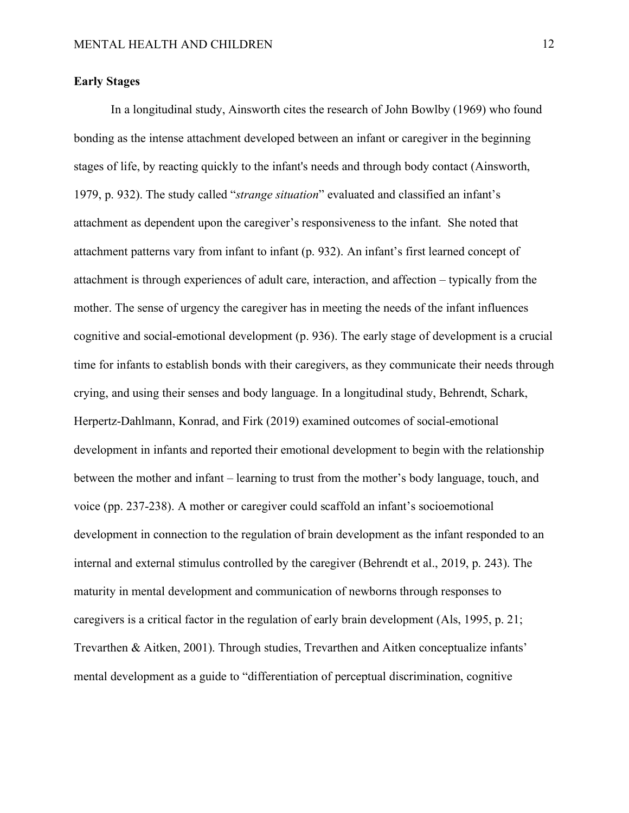# **Early Stages**

In a longitudinal study, Ainsworth cites the research of John Bowlby (1969) who found bonding as the intense attachment developed between an infant or caregiver in the beginning stages of life, by reacting quickly to the infant's needs and through body contact (Ainsworth, 1979, p. 932). The study called "*strange situation*" evaluated and classified an infant's attachment as dependent upon the caregiver's responsiveness to the infant. She noted that attachment patterns vary from infant to infant (p. 932). An infant's first learned concept of attachment is through experiences of adult care, interaction, and affection – typically from the mother. The sense of urgency the caregiver has in meeting the needs of the infant influences cognitive and social-emotional development (p. 936). The early stage of development is a crucial time for infants to establish bonds with their caregivers, as they communicate their needs through crying, and using their senses and body language. In a longitudinal study, Behrendt, Schark, Herpertz-Dahlmann, Konrad, and Firk (2019) examined outcomes of social-emotional development in infants and reported their emotional development to begin with the relationship between the mother and infant – learning to trust from the mother's body language, touch, and voice (pp. 237-238). A mother or caregiver could scaffold an infant's socioemotional development in connection to the regulation of brain development as the infant responded to an internal and external stimulus controlled by the caregiver (Behrendt et al., 2019, p. 243). The maturity in mental development and communication of newborns through responses to caregivers is a critical factor in the regulation of early brain development (Als, 1995, p. 21; Trevarthen & Aitken, 2001). Through studies, Trevarthen and Aitken conceptualize infants' mental development as a guide to "differentiation of perceptual discrimination, cognitive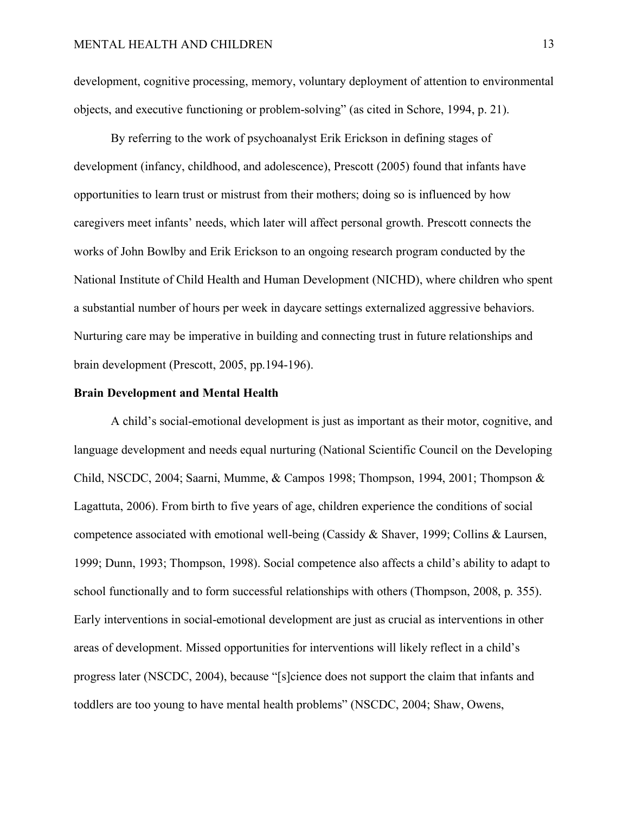development, cognitive processing, memory, voluntary deployment of attention to environmental objects, and executive functioning or problem-solving" (as cited in Schore, 1994, p. 21).

By referring to the work of psychoanalyst Erik Erickson in defining stages of development (infancy, childhood, and adolescence), Prescott (2005) found that infants have opportunities to learn trust or mistrust from their mothers; doing so is influenced by how caregivers meet infants' needs, which later will affect personal growth. Prescott connects the works of John Bowlby and Erik Erickson to an ongoing research program conducted by the National Institute of Child Health and Human Development (NICHD), where children who spent a substantial number of hours per week in daycare settings externalized aggressive behaviors. Nurturing care may be imperative in building and connecting trust in future relationships and brain development (Prescott, 2005, pp.194-196).

#### **Brain Development and Mental Health**

A child's social-emotional development is just as important as their motor, cognitive, and language development and needs equal nurturing (National Scientific Council on the Developing Child, NSCDC, 2004; Saarni, Mumme, & Campos 1998; Thompson, 1994, 2001; Thompson & Lagattuta, 2006). From birth to five years of age, children experience the conditions of social competence associated with emotional well-being (Cassidy & Shaver, 1999; Collins & Laursen, 1999; Dunn, 1993; Thompson, 1998). Social competence also affects a child's ability to adapt to school functionally and to form successful relationships with others (Thompson, 2008, p. 355). Early interventions in social-emotional development are just as crucial as interventions in other areas of development. Missed opportunities for interventions will likely reflect in a child's progress later (NSCDC, 2004), because "[s]cience does not support the claim that infants and toddlers are too young to have mental health problems" (NSCDC, 2004; Shaw, Owens,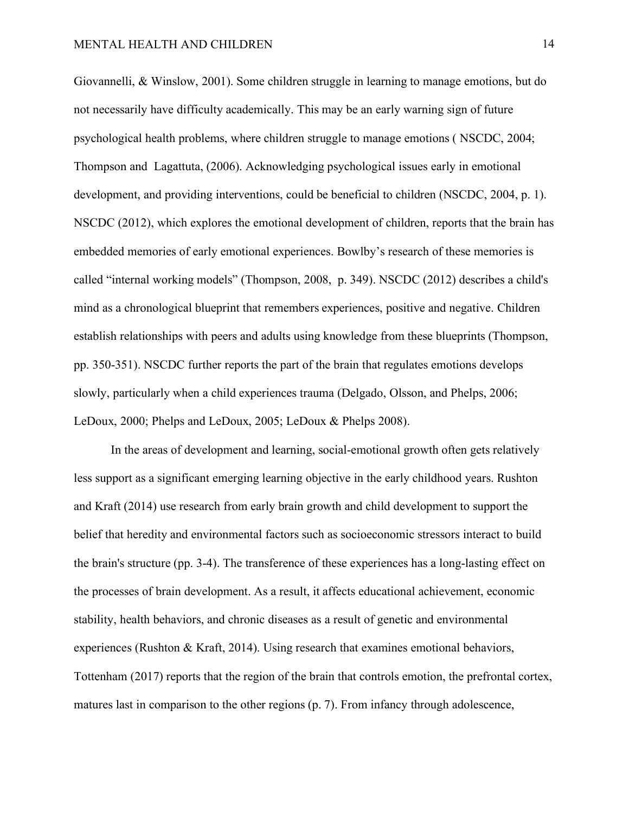Giovannelli, & Winslow, 2001). Some children struggle in learning to manage emotions, but do not necessarily have difficulty academically. This may be an early warning sign of future psychological health problems, where children struggle to manage emotions ( NSCDC, 2004; Thompson and Lagattuta, (2006). Acknowledging psychological issues early in emotional development, and providing interventions, could be beneficial to children (NSCDC, 2004, p. 1). NSCDC (2012), which explores the emotional development of children, reports that the brain has embedded memories of early emotional experiences. Bowlby's research of these memories is called "internal working models" (Thompson, 2008, p. 349). NSCDC (2012) describes a child's mind as a chronological blueprint that remembers experiences, positive and negative. Children establish relationships with peers and adults using knowledge from these blueprints (Thompson, pp. 350-351). NSCDC further reports the part of the brain that regulates emotions develops slowly, particularly when a child experiences trauma (Delgado, Olsson, and Phelps, 2006; LeDoux, 2000; Phelps and LeDoux, 2005; LeDoux & Phelps 2008).

In the areas of development and learning, social-emotional growth often gets relatively less support as a significant emerging learning objective in the early childhood years. Rushton and Kraft (2014) use research from early brain growth and child development to support the belief that heredity and environmental factors such as socioeconomic stressors interact to build the brain's structure (pp. 3-4). The transference of these experiences has a long-lasting effect on the processes of brain development. As a result, it affects educational achievement, economic stability, health behaviors, and chronic diseases as a result of genetic and environmental experiences (Rushton & Kraft, 2014). Using research that examines emotional behaviors, Tottenham (2017) reports that the region of the brain that controls emotion, the prefrontal cortex, matures last in comparison to the other regions (p. 7). From infancy through adolescence,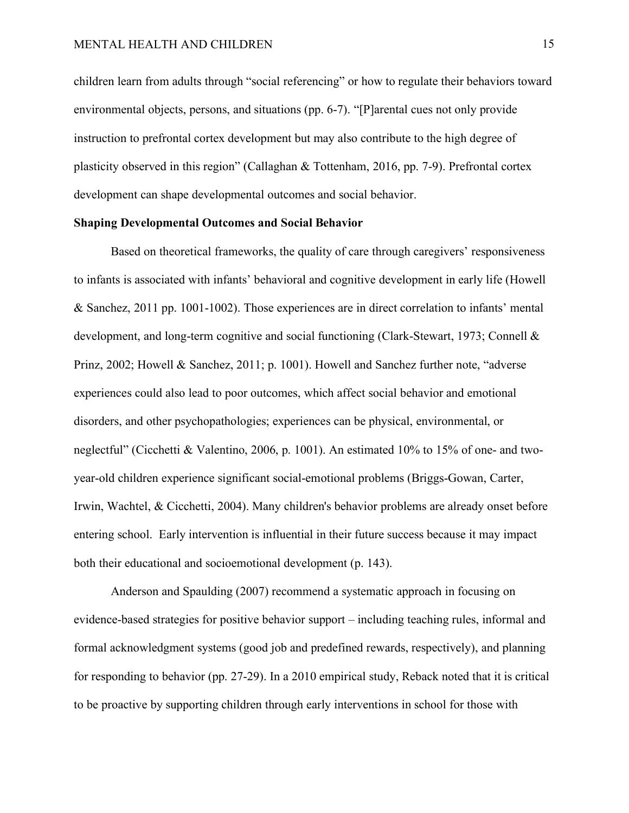children learn from adults through "social referencing" or how to regulate their behaviors toward environmental objects, persons, and situations (pp. 6-7). "[P]arental cues not only provide instruction to prefrontal cortex development but may also contribute to the high degree of plasticity observed in this region" (Callaghan & Tottenham, 2016, pp. 7-9). Prefrontal cortex development can shape developmental outcomes and social behavior.

# **Shaping Developmental Outcomes and Social Behavior**

Based on theoretical frameworks, the quality of care through caregivers' responsiveness to infants is associated with infants' behavioral and cognitive development in early life (Howell & Sanchez, 2011 pp. 1001-1002). Those experiences are in direct correlation to infants' mental development, and long-term cognitive and social functioning (Clark-Stewart, 1973; Connell & Prinz, 2002; Howell & Sanchez, 2011; p. 1001). Howell and Sanchez further note, "adverse experiences could also lead to poor outcomes, which affect social behavior and emotional disorders, and other psychopathologies; experiences can be physical, environmental, or neglectful" (Cicchetti & Valentino, 2006, p. 1001). An estimated 10% to 15% of one- and twoyear-old children experience significant social-emotional problems (Briggs-Gowan, Carter, Irwin, Wachtel, & Cicchetti, 2004). Many children's behavior problems are already onset before entering school. Early intervention is influential in their future success because it may impact both their educational and socioemotional development (p. 143).

Anderson and Spaulding (2007) recommend a systematic approach in focusing on evidence-based strategies for positive behavior support – including teaching rules, informal and formal acknowledgment systems (good job and predefined rewards, respectively), and planning for responding to behavior (pp. 27-29). In a 2010 empirical study, Reback noted that it is critical to be proactive by supporting children through early interventions in school for those with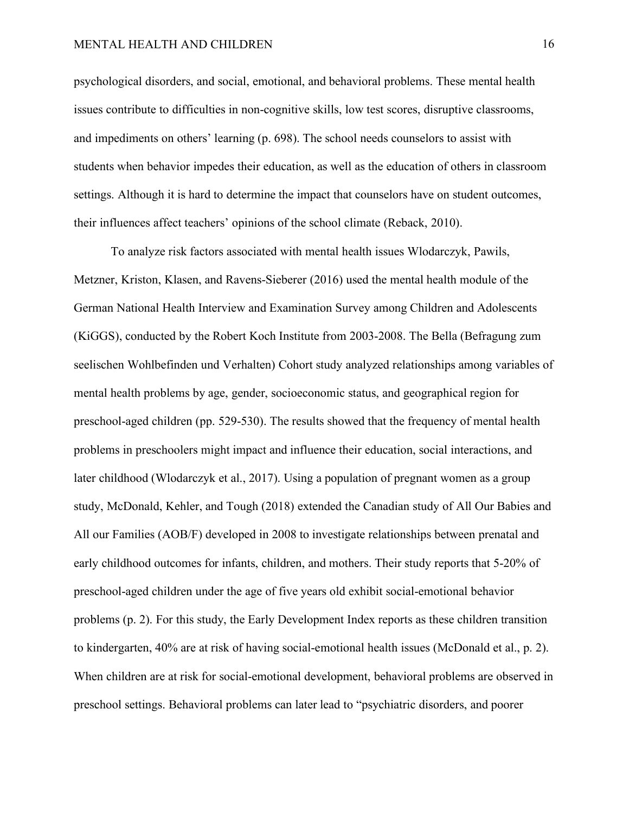#### MENTAL HEALTH AND CHILDREN 16

psychological disorders, and social, emotional, and behavioral problems. These mental health issues contribute to difficulties in non-cognitive skills, low test scores, disruptive classrooms, and impediments on others' learning (p. 698). The school needs counselors to assist with students when behavior impedes their education, as well as the education of others in classroom settings. Although it is hard to determine the impact that counselors have on student outcomes, their influences affect teachers' opinions of the school climate (Reback, 2010).

To analyze risk factors associated with mental health issues Wlodarczyk, Pawils, Metzner, Kriston, Klasen, and Ravens-Sieberer (2016) used the mental health module of the German National Health Interview and Examination Survey among Children and Adolescents (KiGGS), conducted by the Robert Koch Institute from 2003-2008. The Bella (Befragung zum seelischen Wohlbefinden und Verhalten) Cohort study analyzed relationships among variables of mental health problems by age, gender, socioeconomic status, and geographical region for preschool-aged children (pp. 529-530). The results showed that the frequency of mental health problems in preschoolers might impact and influence their education, social interactions, and later childhood (Wlodarczyk et al., 2017). Using a population of pregnant women as a group study, McDonald, Kehler, and Tough (2018) extended the Canadian study of All Our Babies and All our Families (AOB/F) developed in 2008 to investigate relationships between prenatal and early childhood outcomes for infants, children, and mothers. Their study reports that 5-20% of preschool-aged children under the age of five years old exhibit social-emotional behavior problems (p. 2). For this study, the Early Development Index reports as these children transition to kindergarten, 40% are at risk of having social-emotional health issues (McDonald et al., p. 2). When children are at risk for social-emotional development, behavioral problems are observed in preschool settings. Behavioral problems can later lead to "psychiatric disorders, and poorer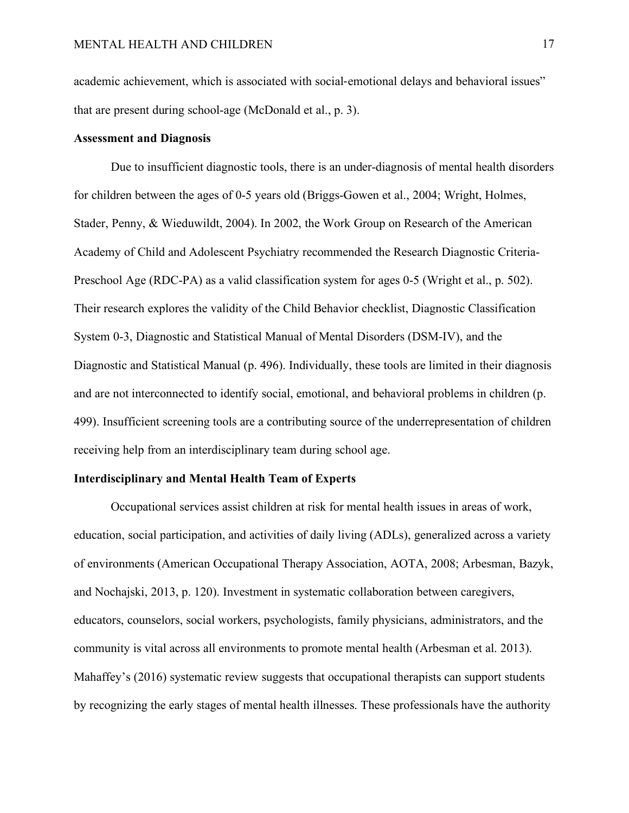academic achievement, which is associated with social-emotional delays and behavioral issues" that are present during school-age (McDonald et al., p. 3).

#### **Assessment and Diagnosis**

Due to insufficient diagnostic tools, there is an under-diagnosis of mental health disorders for children between the ages of 0-5 years old (Briggs-Gowen et al., 2004; Wright, Holmes, Stader, Penny, & Wieduwildt, 2004). In 2002, the Work Group on Research of the American Academy of Child and Adolescent Psychiatry recommended the Research Diagnostic Criteria-Preschool Age (RDC-PA) as a valid classification system for ages 0-5 (Wright et al., p. 502). Their research explores the validity of the Child Behavior checklist, Diagnostic Classification System 0-3, Diagnostic and Statistical Manual of Mental Disorders (DSM-IV), and the Diagnostic and Statistical Manual (p. 496). Individually, these tools are limited in their diagnosis and are not interconnected to identify social, emotional, and behavioral problems in children (p. 499). Insufficient screening tools are a contributing source of the underrepresentation of children receiving help from an interdisciplinary team during school age.

#### **Interdisciplinary and Mental Health Team of Experts**

Occupational services assist children at risk for mental health issues in areas of work, education, social participation, and activities of daily living (ADLs), generalized across a variety of environments (American Occupational Therapy Association, AOTA, 2008; Arbesman, Bazyk, and Nochajski, 2013, p. 120). Investment in systematic collaboration between caregivers, educators, counselors, social workers, psychologists, family physicians, administrators, and the community is vital across all environments to promote mental health (Arbesman et al. 2013). Mahaffey's (2016) systematic review suggests that occupational therapists can support students by recognizing the early stages of mental health illnesses. These professionals have the authority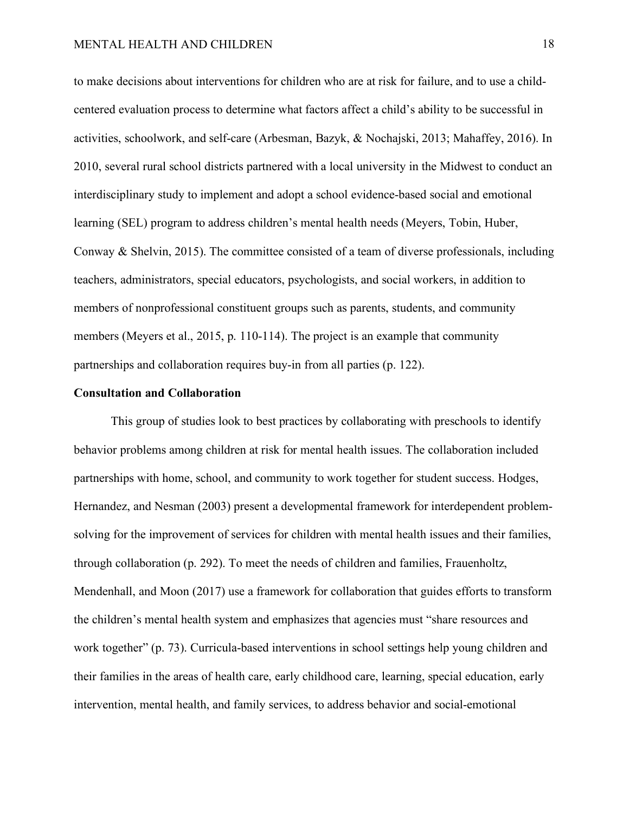to make decisions about interventions for children who are at risk for failure, and to use a childcentered evaluation process to determine what factors affect a child's ability to be successful in activities, schoolwork, and self-care (Arbesman, Bazyk, & Nochajski, 2013; Mahaffey, 2016). In 2010, several rural school districts partnered with a local university in the Midwest to conduct an interdisciplinary study to implement and adopt a school evidence-based social and emotional learning (SEL) program to address children's mental health needs (Meyers, Tobin, Huber, Conway & Shelvin, 2015). The committee consisted of a team of diverse professionals, including teachers, administrators, special educators, psychologists, and social workers, in addition to members of nonprofessional constituent groups such as parents, students, and community members (Meyers et al., 2015, p. 110-114). The project is an example that community partnerships and collaboration requires buy-in from all parties (p. 122).

#### **Consultation and Collaboration**

This group of studies look to best practices by collaborating with preschools to identify behavior problems among children at risk for mental health issues. The collaboration included partnerships with home, school, and community to work together for student success. Hodges, Hernandez, and Nesman (2003) present a developmental framework for interdependent problemsolving for the improvement of services for children with mental health issues and their families, through collaboration (p. 292). To meet the needs of children and families, Frauenholtz, Mendenhall, and Moon (2017) use a framework for collaboration that guides efforts to transform the children's mental health system and emphasizes that agencies must "share resources and work together" (p. 73). Curricula-based interventions in school settings help young children and their families in the areas of health care, early childhood care, learning, special education, early intervention, mental health, and family services, to address behavior and social-emotional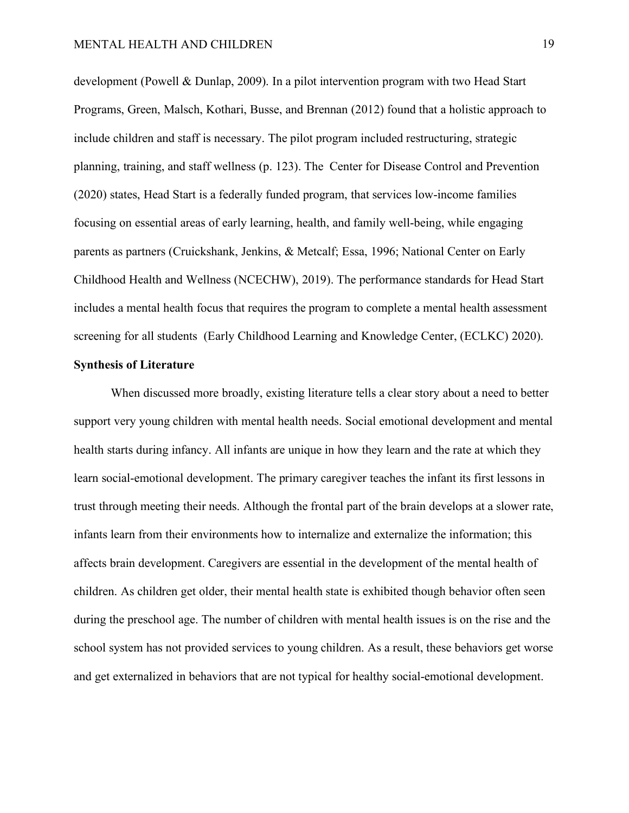development (Powell & Dunlap, 2009). In a pilot intervention program with two Head Start Programs, Green, Malsch, Kothari, Busse, and Brennan (2012) found that a holistic approach to include children and staff is necessary. The pilot program included restructuring, strategic planning, training, and staff wellness (p. 123). The Center for Disease Control and Prevention (2020) states, Head Start is a federally funded program, that services low-income families focusing on essential areas of early learning, health, and family well-being, while engaging parents as partners (Cruickshank, Jenkins, & Metcalf; Essa, 1996; National Center on Early Childhood Health and Wellness (NCECHW), 2019). The performance standards for Head Start includes a mental health focus that requires the program to complete a mental health assessment screening for all students (Early Childhood Learning and Knowledge Center, (ECLKC) 2020).

#### **Synthesis of Literature**

When discussed more broadly, existing literature tells a clear story about a need to better support very young children with mental health needs. Social emotional development and mental health starts during infancy. All infants are unique in how they learn and the rate at which they learn social-emotional development. The primary caregiver teaches the infant its first lessons in trust through meeting their needs. Although the frontal part of the brain develops at a slower rate, infants learn from their environments how to internalize and externalize the information; this affects brain development. Caregivers are essential in the development of the mental health of children. As children get older, their mental health state is exhibited though behavior often seen during the preschool age. The number of children with mental health issues is on the rise and the school system has not provided services to young children. As a result, these behaviors get worse and get externalized in behaviors that are not typical for healthy social-emotional development.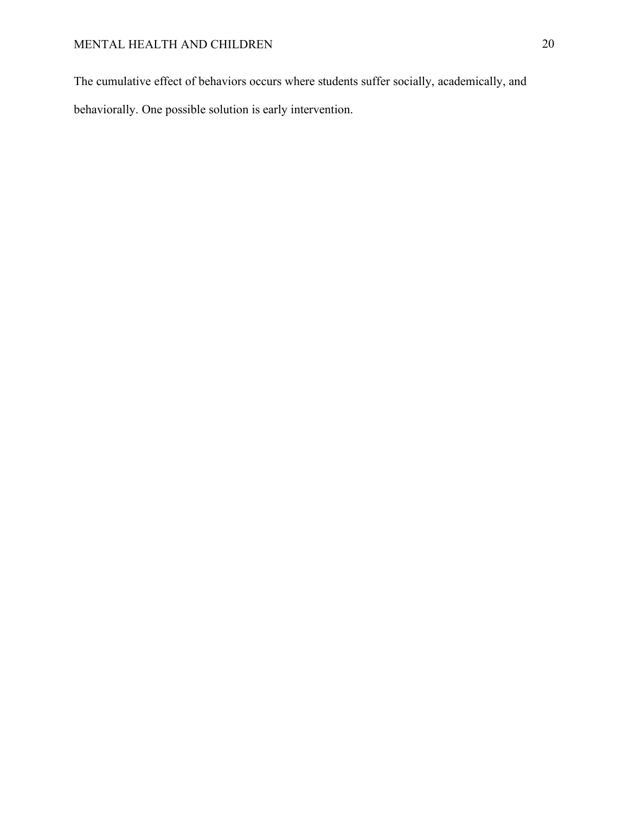The cumulative effect of behaviors occurs where students suffer socially, academically, and behaviorally. One possible solution is early intervention.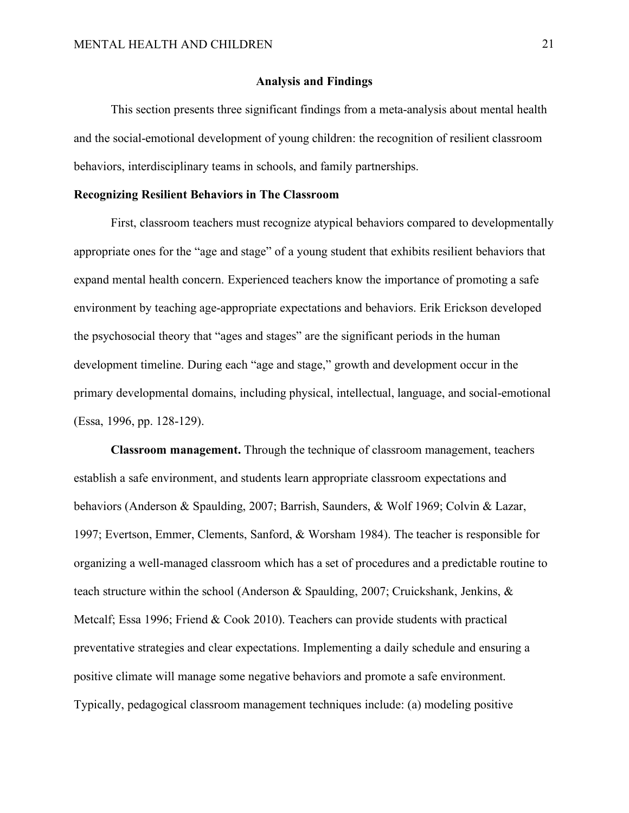#### **Analysis and Findings**

This section presents three significant findings from a meta-analysis about mental health and the social-emotional development of young children: the recognition of resilient classroom behaviors, interdisciplinary teams in schools, and family partnerships.

# **Recognizing Resilient Behaviors in The Classroom**

First, classroom teachers must recognize atypical behaviors compared to developmentally appropriate ones for the "age and stage" of a young student that exhibits resilient behaviors that expand mental health concern. Experienced teachers know the importance of promoting a safe environment by teaching age-appropriate expectations and behaviors. Erik Erickson developed the psychosocial theory that "ages and stages" are the significant periods in the human development timeline. During each "age and stage," growth and development occur in the primary developmental domains, including physical, intellectual, language, and social-emotional (Essa, 1996, pp. 128-129).

**Classroom management.** Through the technique of classroom management, teachers establish a safe environment, and students learn appropriate classroom expectations and behaviors (Anderson & Spaulding, 2007; Barrish, Saunders, & Wolf 1969; Colvin & Lazar, 1997; Evertson, Emmer, Clements, Sanford, & Worsham 1984). The teacher is responsible for organizing a well-managed classroom which has a set of procedures and a predictable routine to teach structure within the school (Anderson & Spaulding, 2007; Cruickshank, Jenkins, & Metcalf; Essa 1996; Friend & Cook 2010). Teachers can provide students with practical preventative strategies and clear expectations. Implementing a daily schedule and ensuring a positive climate will manage some negative behaviors and promote a safe environment. Typically, pedagogical classroom management techniques include: (a) modeling positive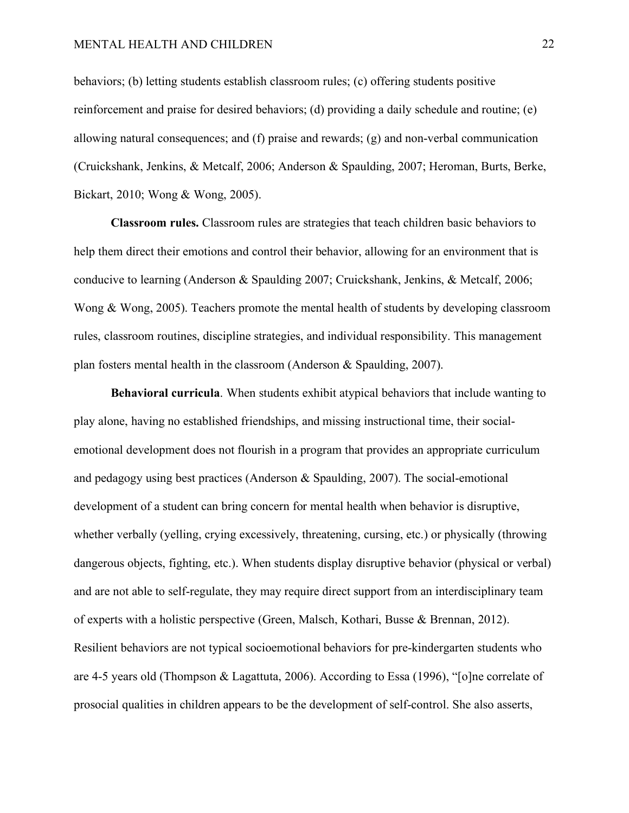#### MENTAL HEALTH AND CHILDREN 22

behaviors; (b) letting students establish classroom rules; (c) offering students positive reinforcement and praise for desired behaviors; (d) providing a daily schedule and routine; (e) allowing natural consequences; and (f) praise and rewards; (g) and non-verbal communication (Cruickshank, Jenkins, & Metcalf, 2006; Anderson & Spaulding, 2007; Heroman, Burts, Berke, Bickart, 2010; Wong & Wong, 2005).

**Classroom rules.** Classroom rules are strategies that teach children basic behaviors to help them direct their emotions and control their behavior, allowing for an environment that is conducive to learning (Anderson & Spaulding 2007; Cruickshank, Jenkins, & Metcalf, 2006; Wong & Wong, 2005). Teachers promote the mental health of students by developing classroom rules, classroom routines, discipline strategies, and individual responsibility. This management plan fosters mental health in the classroom (Anderson & Spaulding, 2007).

**Behavioral curricula**. When students exhibit atypical behaviors that include wanting to play alone, having no established friendships, and missing instructional time, their socialemotional development does not flourish in a program that provides an appropriate curriculum and pedagogy using best practices (Anderson  $\&$  Spaulding, 2007). The social-emotional development of a student can bring concern for mental health when behavior is disruptive, whether verbally (yelling, crying excessively, threatening, cursing, etc.) or physically (throwing dangerous objects, fighting, etc.). When students display disruptive behavior (physical or verbal) and are not able to self-regulate, they may require direct support from an interdisciplinary team of experts with a holistic perspective (Green, Malsch, Kothari, Busse & Brennan, 2012). Resilient behaviors are not typical socioemotional behaviors for pre-kindergarten students who are 4-5 years old (Thompson & Lagattuta, 2006). According to Essa (1996), "[o]ne correlate of prosocial qualities in children appears to be the development of self-control. She also asserts,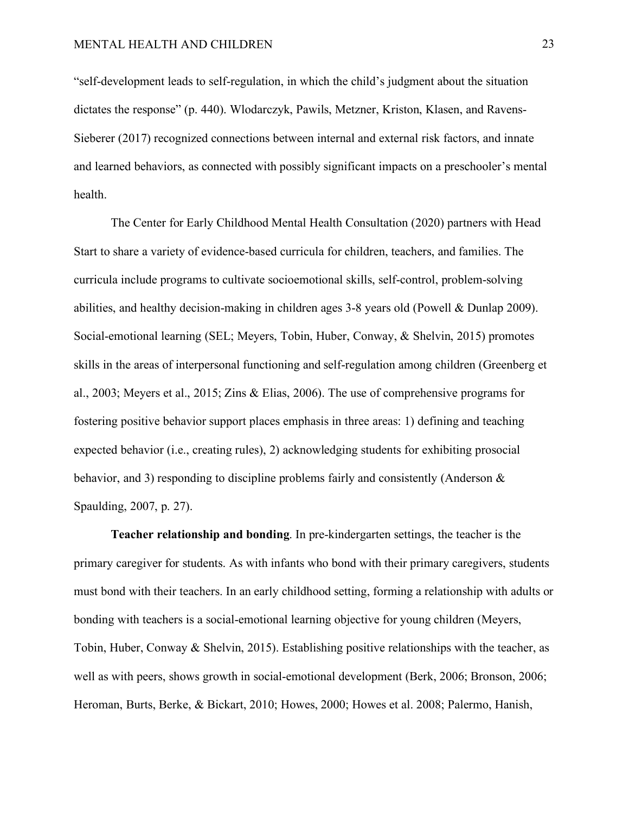"self-development leads to self-regulation, in which the child's judgment about the situation dictates the response" (p. 440). Wlodarczyk, Pawils, Metzner, Kriston, Klasen, and Ravens-Sieberer (2017) recognized connections between internal and external risk factors, and innate and learned behaviors, as connected with possibly significant impacts on a preschooler's mental health.

The Center for Early Childhood Mental Health Consultation (2020) partners with Head Start to share a variety of evidence-based curricula for children, teachers, and families. The curricula include programs to cultivate socioemotional skills, self-control, problem-solving abilities, and healthy decision-making in children ages 3-8 years old (Powell & Dunlap 2009). Social-emotional learning (SEL; Meyers, Tobin, Huber, Conway, & Shelvin, 2015) promotes skills in the areas of interpersonal functioning and self-regulation among children (Greenberg et al., 2003; Meyers et al., 2015; Zins & Elias, 2006). The use of comprehensive programs for fostering positive behavior support places emphasis in three areas: 1) defining and teaching expected behavior (i.e., creating rules), 2) acknowledging students for exhibiting prosocial behavior, and 3) responding to discipline problems fairly and consistently (Anderson & Spaulding, 2007, p. 27).

**Teacher relationship and bonding**. In pre-kindergarten settings, the teacher is the primary caregiver for students. As with infants who bond with their primary caregivers, students must bond with their teachers. In an early childhood setting, forming a relationship with adults or bonding with teachers is a social-emotional learning objective for young children (Meyers, Tobin, Huber, Conway & Shelvin, 2015). Establishing positive relationships with the teacher, as well as with peers, shows growth in social-emotional development (Berk, 2006; Bronson, 2006; Heroman, Burts, Berke, & Bickart, 2010; Howes, 2000; Howes et al. 2008; Palermo, Hanish,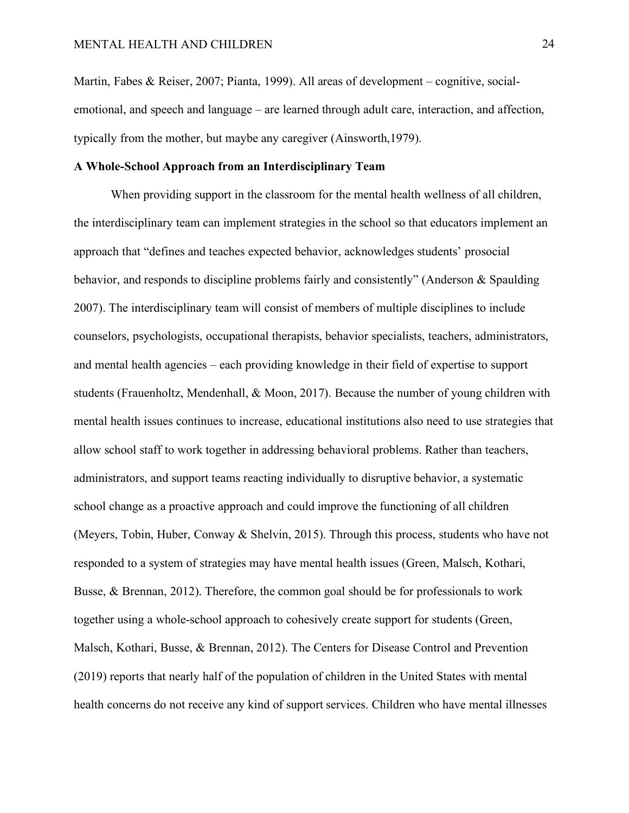Martin, Fabes & Reiser, 2007; Pianta, 1999). All areas of development – cognitive, socialemotional, and speech and language – are learned through adult care, interaction, and affection, typically from the mother, but maybe any caregiver (Ainsworth,1979).

## **A Whole-School Approach from an Interdisciplinary Team**

When providing support in the classroom for the mental health wellness of all children, the interdisciplinary team can implement strategies in the school so that educators implement an approach that "defines and teaches expected behavior, acknowledges students' prosocial behavior, and responds to discipline problems fairly and consistently" (Anderson & Spaulding 2007). The interdisciplinary team will consist of members of multiple disciplines to include counselors, psychologists, occupational therapists, behavior specialists, teachers, administrators, and mental health agencies – each providing knowledge in their field of expertise to support students (Frauenholtz, Mendenhall, & Moon, 2017). Because the number of young children with mental health issues continues to increase, educational institutions also need to use strategies that allow school staff to work together in addressing behavioral problems. Rather than teachers, administrators, and support teams reacting individually to disruptive behavior, a systematic school change as a proactive approach and could improve the functioning of all children (Meyers, Tobin, Huber, Conway & Shelvin, 2015). Through this process, students who have not responded to a system of strategies may have mental health issues (Green, Malsch, Kothari, Busse, & Brennan, 2012). Therefore, the common goal should be for professionals to work together using a whole-school approach to cohesively create support for students (Green, Malsch, Kothari, Busse, & Brennan, 2012). The Centers for Disease Control and Prevention (2019) reports that nearly half of the population of children in the United States with mental health concerns do not receive any kind of support services. Children who have mental illnesses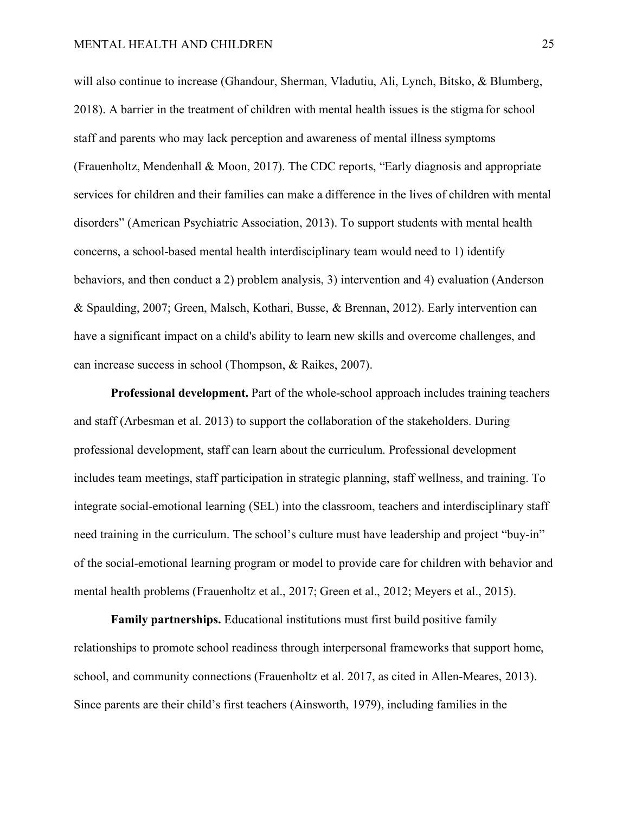will also continue to increase (Ghandour, Sherman, Vladutiu, Ali, Lynch, Bitsko, & Blumberg, 2018). A barrier in the treatment of children with mental health issues is the stigma for school staff and parents who may lack perception and awareness of mental illness symptoms (Frauenholtz, Mendenhall & Moon, 2017). The CDC reports, "Early diagnosis and appropriate services for children and their families can make a difference in the lives of children with mental disorders" (American Psychiatric Association, 2013). To support students with mental health concerns, a school-based mental health interdisciplinary team would need to 1) identify behaviors, and then conduct a 2) problem analysis, 3) intervention and 4) evaluation (Anderson & Spaulding, 2007; Green, Malsch, Kothari, Busse, & Brennan, 2012). Early intervention can have a significant impact on a child's ability to learn new skills and overcome challenges, and can increase success in school (Thompson, & Raikes, 2007).

**Professional development.** Part of the whole-school approach includes training teachers and staff (Arbesman et al. 2013) to support the collaboration of the stakeholders. During professional development, staff can learn about the curriculum. Professional development includes team meetings, staff participation in strategic planning, staff wellness, and training. To integrate social-emotional learning (SEL) into the classroom, teachers and interdisciplinary staff need training in the curriculum. The school's culture must have leadership and project "buy-in" of the social-emotional learning program or model to provide care for children with behavior and mental health problems (Frauenholtz et al., 2017; Green et al., 2012; Meyers et al., 2015).

**Family partnerships.** Educational institutions must first build positive family relationships to promote school readiness through interpersonal frameworks that support home, school, and community connections (Frauenholtz et al. 2017, as cited in Allen-Meares, 2013). Since parents are their child's first teachers (Ainsworth, 1979), including families in the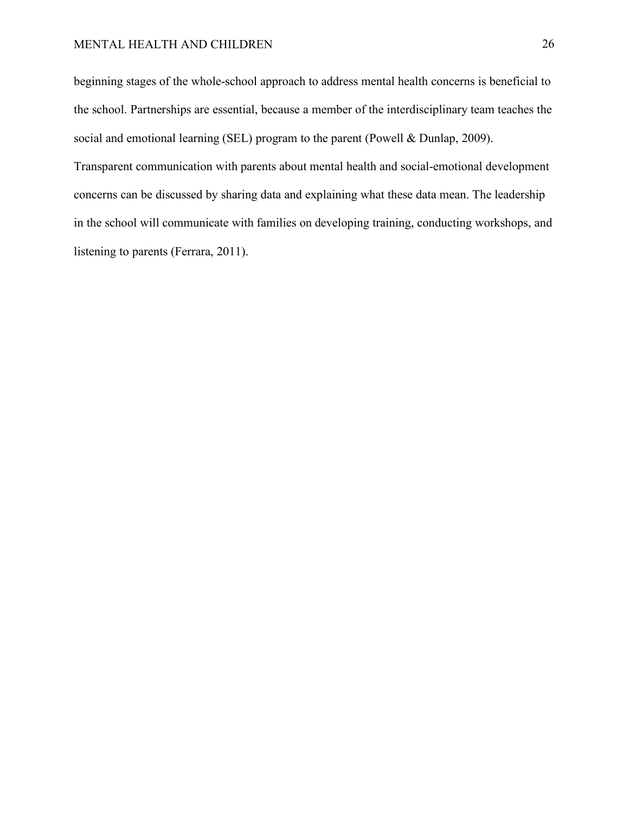beginning stages of the whole-school approach to address mental health concerns is beneficial to the school. Partnerships are essential, because a member of the interdisciplinary team teaches the social and emotional learning (SEL) program to the parent (Powell & Dunlap, 2009).

Transparent communication with parents about mental health and social-emotional development concerns can be discussed by sharing data and explaining what these data mean. The leadership in the school will communicate with families on developing training, conducting workshops, and listening to parents (Ferrara, 2011).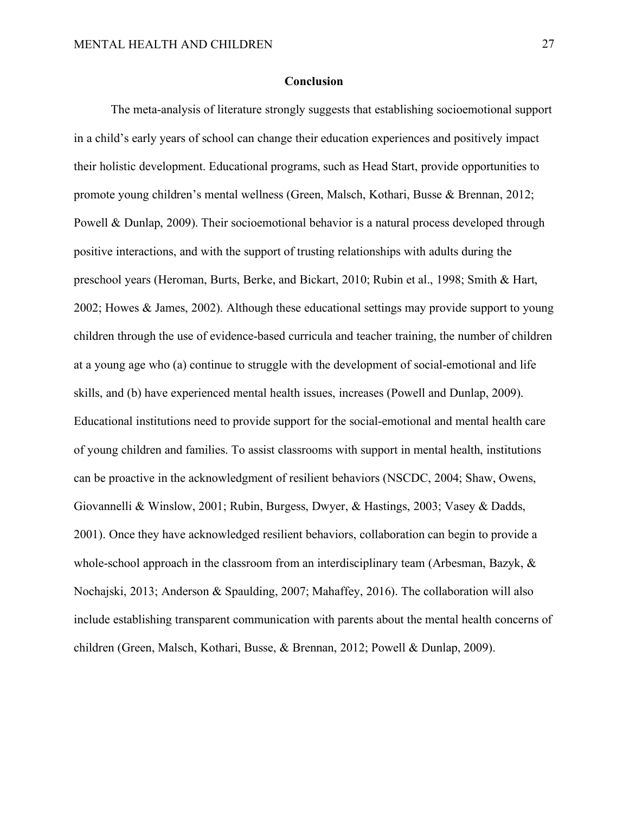#### **Conclusion**

The meta-analysis of literature strongly suggests that establishing socioemotional support in a child's early years of school can change their education experiences and positively impact their holistic development. Educational programs, such as Head Start, provide opportunities to promote young children's mental wellness (Green, Malsch, Kothari, Busse & Brennan, 2012; Powell & Dunlap, 2009). Their socioemotional behavior is a natural process developed through positive interactions, and with the support of trusting relationships with adults during the preschool years (Heroman, Burts, Berke, and Bickart, 2010; Rubin et al., 1998; Smith & Hart, 2002; Howes & James, 2002). Although these educational settings may provide support to young children through the use of evidence-based curricula and teacher training, the number of children at a young age who (a) continue to struggle with the development of social-emotional and life skills, and (b) have experienced mental health issues, increases (Powell and Dunlap, 2009). Educational institutions need to provide support for the social-emotional and mental health care of young children and families. To assist classrooms with support in mental health, institutions can be proactive in the acknowledgment of resilient behaviors (NSCDC, 2004; Shaw, Owens, Giovannelli & Winslow, 2001; Rubin, Burgess, Dwyer, & Hastings, 2003; Vasey & Dadds, 2001). Once they have acknowledged resilient behaviors, collaboration can begin to provide a whole-school approach in the classroom from an interdisciplinary team (Arbesman, Bazyk, & Nochajski, 2013; Anderson & Spaulding, 2007; Mahaffey, 2016). The collaboration will also include establishing transparent communication with parents about the mental health concerns of children (Green, Malsch, Kothari, Busse, & Brennan, 2012; Powell & Dunlap, 2009).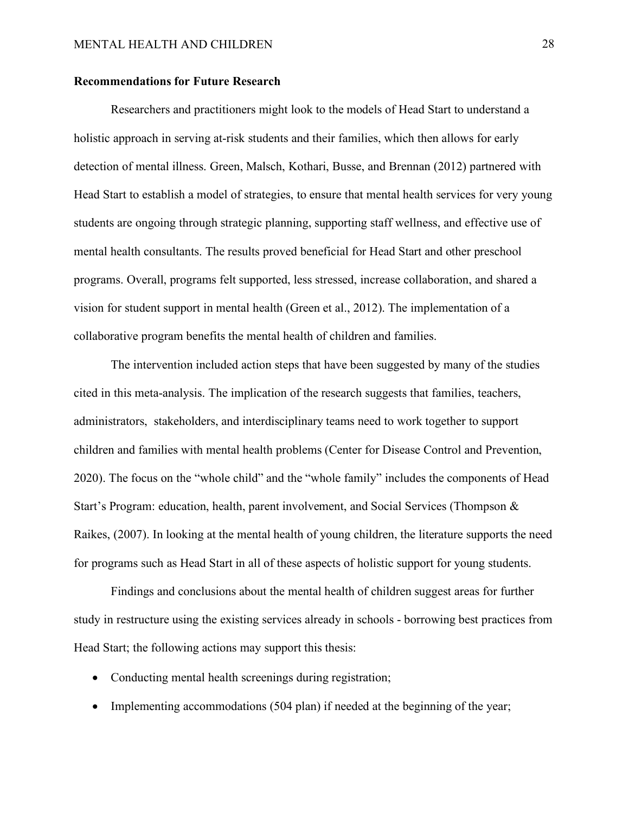#### **Recommendations for Future Research**

Researchers and practitioners might look to the models of Head Start to understand a holistic approach in serving at-risk students and their families, which then allows for early detection of mental illness. Green, Malsch, Kothari, Busse, and Brennan (2012) partnered with Head Start to establish a model of strategies, to ensure that mental health services for very young students are ongoing through strategic planning, supporting staff wellness, and effective use of mental health consultants. The results proved beneficial for Head Start and other preschool programs. Overall, programs felt supported, less stressed, increase collaboration, and shared a vision for student support in mental health (Green et al., 2012). The implementation of a collaborative program benefits the mental health of children and families.

The intervention included action steps that have been suggested by many of the studies cited in this meta-analysis. The implication of the research suggests that families, teachers, administrators, stakeholders, and interdisciplinary teams need to work together to support children and families with mental health problems (Center for Disease Control and Prevention, 2020). The focus on the "whole child" and the "whole family" includes the components of Head Start's Program: education, health, parent involvement, and Social Services (Thompson & Raikes, (2007). In looking at the mental health of young children, the literature supports the need for programs such as Head Start in all of these aspects of holistic support for young students.

Findings and conclusions about the mental health of children suggest areas for further study in restructure using the existing services already in schools - borrowing best practices from Head Start; the following actions may support this thesis:

- Conducting mental health screenings during registration;
- Implementing accommodations (504 plan) if needed at the beginning of the year;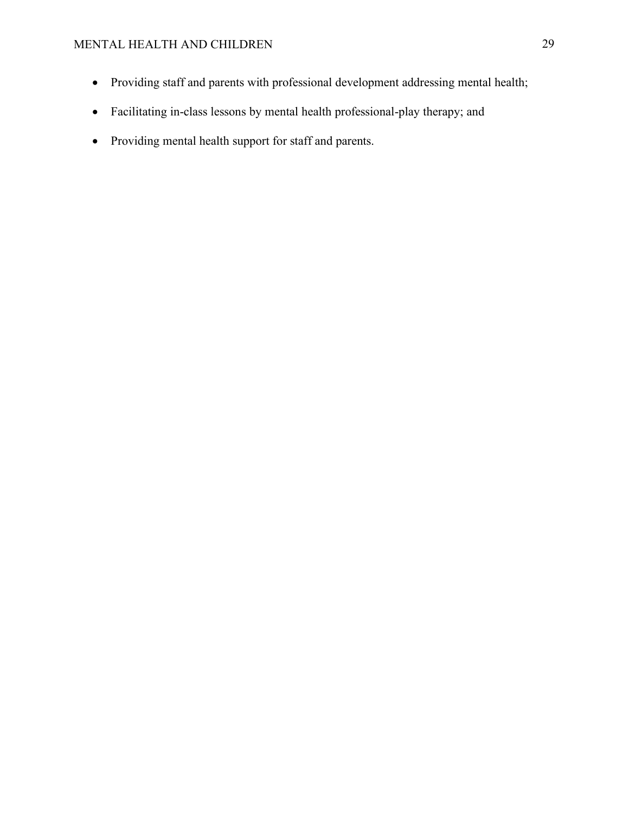# MENTAL HEALTH AND CHILDREN 29

- Providing staff and parents with professional development addressing mental health;
- Facilitating in-class lessons by mental health professional-play therapy; and
- Providing mental health support for staff and parents.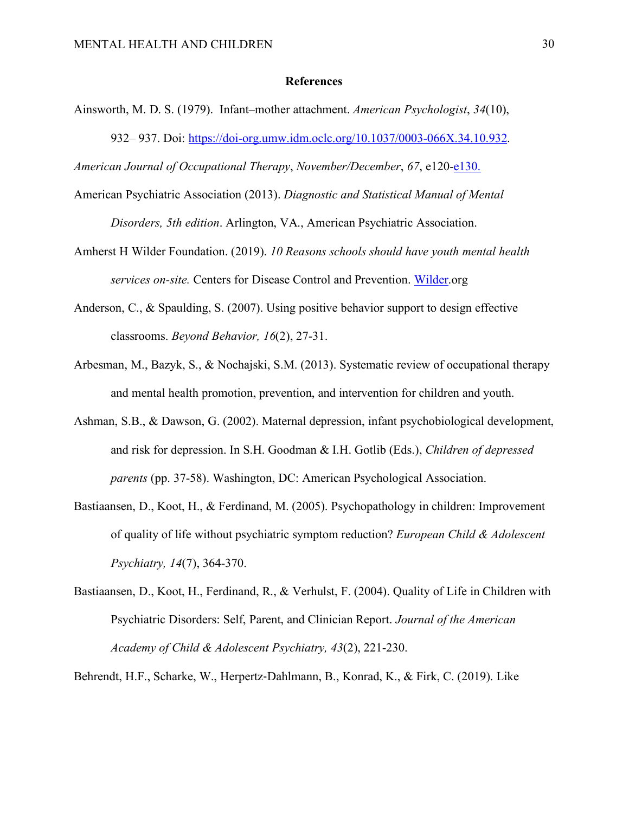#### **References**

Ainsworth, M. D. S. (1979). Infant–mother attachment. *American Psychologist*, *34*(10), 932– 937. Doi: https://doi-org.umw.idm.oclc.org/10.1037/0003-066X.34.10.932.

*American Journal of Occupational Therapy*, *November/December*, *67*, e120-e130.

- American Psychiatric Association (2013). *Diagnostic and Statistical Manual of Mental Disorders, 5th edition*. Arlington, VA., American Psychiatric Association.
- Amherst H Wilder Foundation. (2019). *10 Reasons schools should have youth mental health services on-site.* Centers for Disease Control and Prevention. Wilder.org
- Anderson, C., & Spaulding, S. (2007). Using positive behavior support to design effective classrooms. *Beyond Behavior, 16*(2), 27-31.
- Arbesman, M., Bazyk, S., & Nochajski, S.M. (2013). Systematic review of occupational therapy and mental health promotion, prevention, and intervention for children and youth.
- Ashman, S.B., & Dawson, G. (2002). Maternal depression, infant psychobiological development, and risk for depression. In S.H. Goodman & I.H. Gotlib (Eds.), *Children of depressed parents* (pp. 37-58). Washington, DC: American Psychological Association.
- Bastiaansen, D., Koot, H., & Ferdinand, M. (2005). Psychopathology in children: Improvement of quality of life without psychiatric symptom reduction? *European Child & Adolescent Psychiatry, 14*(7), 364-370.
- Bastiaansen, D., Koot, H., Ferdinand, R., & Verhulst, F. (2004). Quality of Life in Children with Psychiatric Disorders: Self, Parent, and Clinician Report. *Journal of the American Academy of Child & Adolescent Psychiatry, 43*(2), 221-230.

Behrendt, H.F., Scharke, W., Herpertz-Dahlmann, B., Konrad, K., & Firk, C. (2019). Like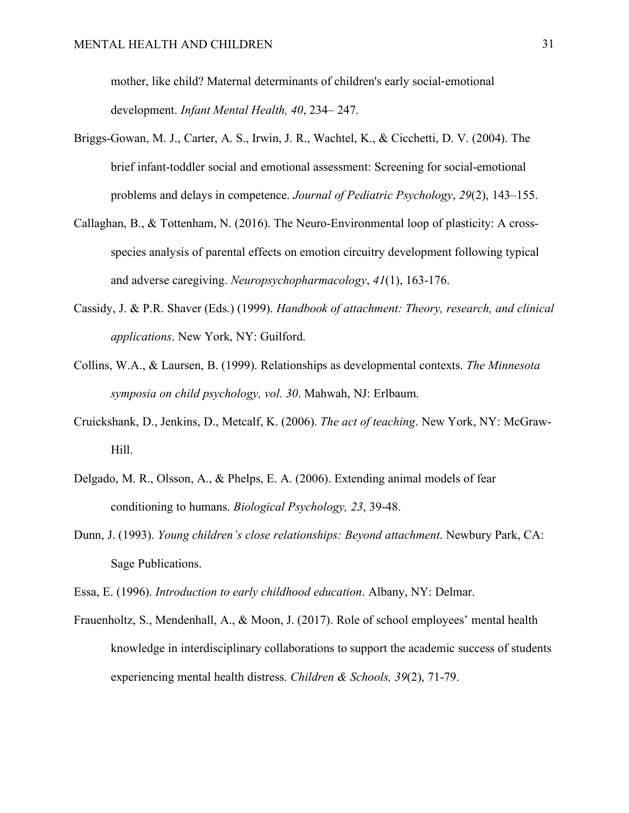mother, like child? Maternal determinants of children's early social-emotional development. *Infant Mental Health, 40*, 234– 247.

- Briggs-Gowan, M. J., Carter, A. S., Irwin, J. R., Wachtel, K., & Cicchetti, D. V. (2004). The brief infant-toddler social and emotional assessment: Screening for social-emotional problems and delays in competence. *Journal of Pediatric Psychology*, *29*(2), 143–155.
- Callaghan, B., & Tottenham, N. (2016). The Neuro-Environmental loop of plasticity: A crossspecies analysis of parental effects on emotion circuitry development following typical and adverse caregiving. *Neuropsychopharmacology*, *41*(1), 163-176.
- Cassidy, J. & P.R. Shaver (Eds.) (1999). *Handbook of attachment: Theory, research, and clinical applications*. New York, NY: Guilford.
- Collins, W.A., & Laursen, B. (1999). Relationships as developmental contexts. *The Minnesota symposia on child psychology, vol. 30*. Mahwah, NJ: Erlbaum.
- Cruickshank, D., Jenkins, D., Metcalf, K. (2006). *The act of teaching*. New York, NY: McGraw-Hill.
- Delgado, M. R., Olsson, A., & Phelps, E. A. (2006). Extending animal models of fear conditioning to humans. *Biological Psychology, 23*, 39-48.
- Dunn, J. (1993). *Young children's close relationships: Beyond attachment*. Newbury Park, CA: Sage Publications.

Essa, E. (1996). *Introduction to early childhood education*. Albany, NY: Delmar.

Frauenholtz, S., Mendenhall, A., & Moon, J. (2017). Role of school employees' mental health knowledge in interdisciplinary collaborations to support the academic success of students experiencing mental health distress. *Children & Schools, 39*(2), 71-79.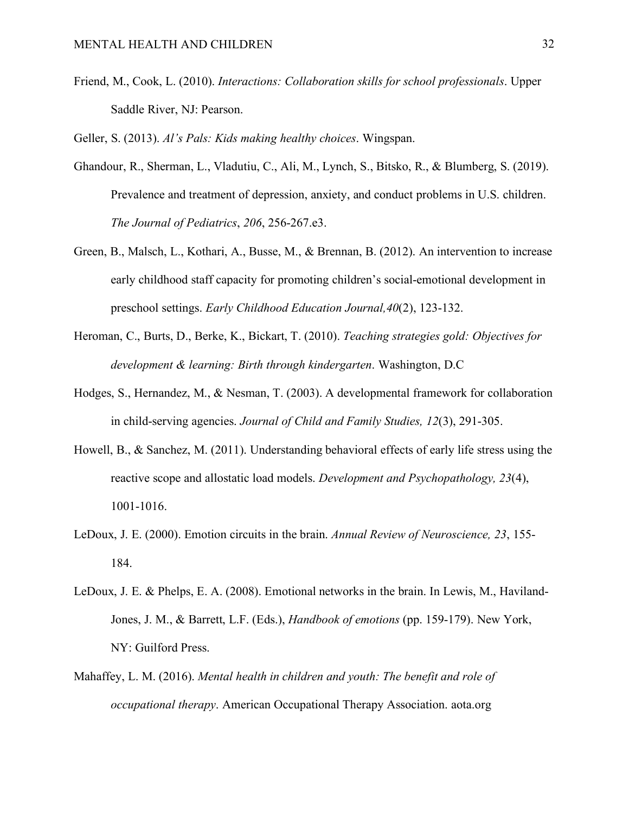Friend, M., Cook, L. (2010). *Interactions: Collaboration skills for school professionals*. Upper Saddle River, NJ: Pearson.

Geller, S. (2013). *Al's Pals: Kids making healthy choices*. Wingspan.

- Ghandour, R., Sherman, L., Vladutiu, C., Ali, M., Lynch, S., Bitsko, R., & Blumberg, S. (2019). Prevalence and treatment of depression, anxiety, and conduct problems in U.S. children. *The Journal of Pediatrics*, *206*, 256-267.e3.
- Green, B., Malsch, L., Kothari, A., Busse, M., & Brennan, B. (2012). An intervention to increase early childhood staff capacity for promoting children's social-emotional development in preschool settings. *Early Childhood Education Journal,40*(2), 123-132.
- Heroman, C., Burts, D., Berke, K., Bickart, T. (2010). *Teaching strategies gold: Objectives for development & learning: Birth through kindergarten*. Washington, D.C
- Hodges, S., Hernandez, M., & Nesman, T. (2003). A developmental framework for collaboration in child-serving agencies. *Journal of Child and Family Studies, 12*(3), 291-305.
- Howell, B., & Sanchez, M. (2011). Understanding behavioral effects of early life stress using the reactive scope and allostatic load models. *Development and Psychopathology, 23*(4), 1001-1016.
- LeDoux, J. E. (2000). Emotion circuits in the brain. *Annual Review of Neuroscience, 23*, 155- 184.
- LeDoux, J. E. & Phelps, E. A. (2008). Emotional networks in the brain. In Lewis, M., Haviland-Jones, J. M., & Barrett, L.F. (Eds.), *Handbook of emotions* (pp. 159-179). New York, NY: Guilford Press.
- Mahaffey, L. M. (2016). *Mental health in children and youth: The benefit and role of occupational therapy*. American Occupational Therapy Association. aota.org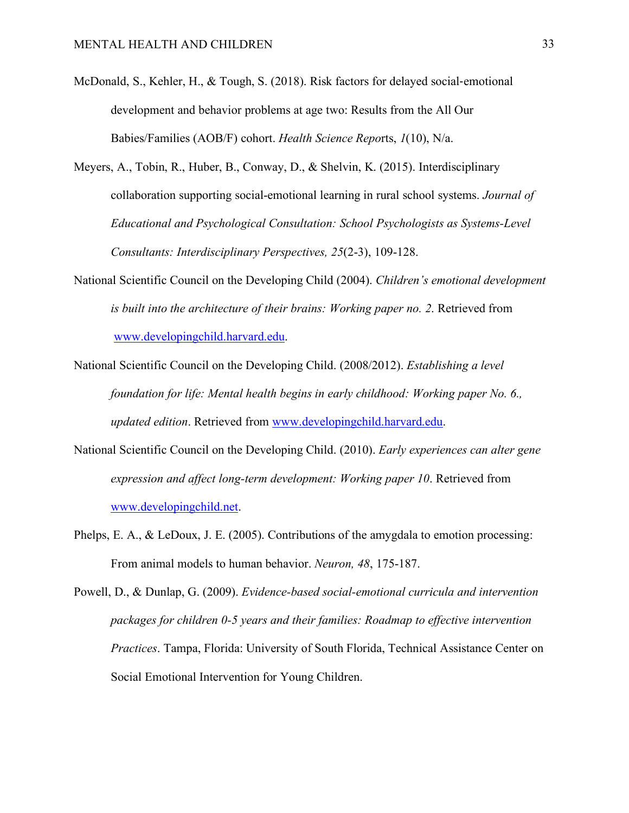- McDonald, S., Kehler, H., & Tough, S. (2018). Risk factors for delayed social-emotional development and behavior problems at age two: Results from the All Our Babies/Families (AOB/F) cohort. *Health Science Repo*rts, *1*(10), N/a.
- Meyers, A., Tobin, R., Huber, B., Conway, D., & Shelvin, K. (2015). Interdisciplinary collaboration supporting social-emotional learning in rural school systems. *Journal of Educational and Psychological Consultation: School Psychologists as Systems-Level Consultants: Interdisciplinary Perspectives, 25*(2-3), 109-128.
- National Scientific Council on the Developing Child (2004). *Children's emotional development is built into the architecture of their brains: Working paper no. 2*. Retrieved from www.developingchild.harvard.edu.
- National Scientific Council on the Developing Child. (2008/2012). *Establishing a level foundation for life: Mental health begins in early childhood: Working paper No. 6., updated edition*. Retrieved from www.developingchild.harvard.edu.
- National Scientific Council on the Developing Child. (2010). *Early experiences can alter gene expression and affect long-term development: Working paper 10*. Retrieved from www.developingchild.net.
- Phelps, E. A., & LeDoux, J. E. (2005). Contributions of the amygdala to emotion processing: From animal models to human behavior. *Neuron, 48*, 175-187.
- Powell, D., & Dunlap, G. (2009). *Evidence-based social-emotional curricula and intervention packages for children 0-5 years and their families: Roadmap to effective intervention Practices*. Tampa, Florida: University of South Florida, Technical Assistance Center on Social Emotional Intervention for Young Children.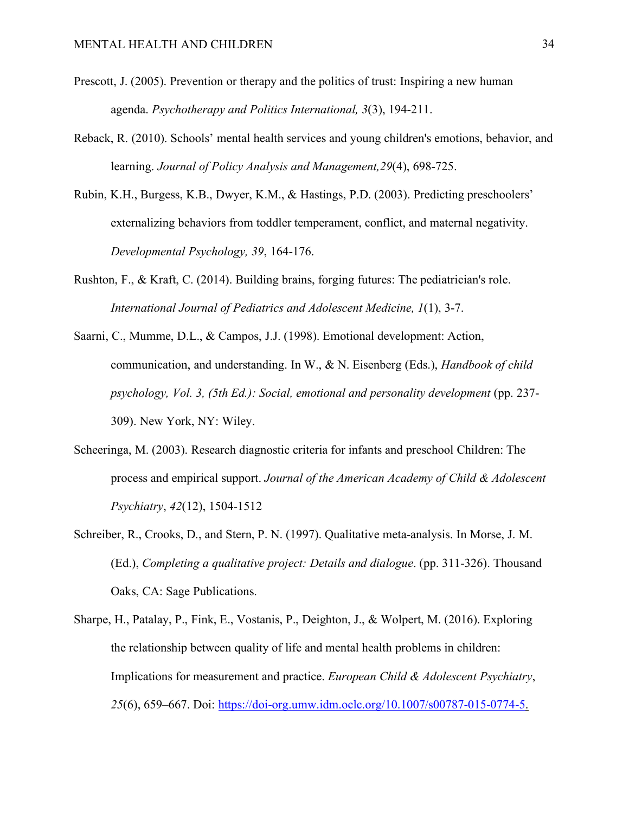- Prescott, J. (2005). Prevention or therapy and the politics of trust: Inspiring a new human agenda. *Psychotherapy and Politics International, 3*(3), 194-211.
- Reback, R. (2010). Schools' mental health services and young children's emotions, behavior, and learning. *Journal of Policy Analysis and Management,29*(4), 698-725.
- Rubin, K.H., Burgess, K.B., Dwyer, K.M., & Hastings, P.D. (2003). Predicting preschoolers' externalizing behaviors from toddler temperament, conflict, and maternal negativity. *Developmental Psychology, 39*, 164-176.
- Rushton, F., & Kraft, C. (2014). Building brains, forging futures: The pediatrician's role. *International Journal of Pediatrics and Adolescent Medicine, 1*(1), 3-7.
- Saarni, C., Mumme, D.L., & Campos, J.J. (1998). Emotional development: Action, communication, and understanding. In W., & N. Eisenberg (Eds.), *Handbook of child psychology, Vol. 3, (5th Ed.): Social, emotional and personality development* (pp. 237- 309). New York, NY: Wiley.
- Scheeringa, M. (2003). Research diagnostic criteria for infants and preschool Children: The process and empirical support. *Journal of the American Academy of Child & Adolescent Psychiatry*, *42*(12), 1504-1512
- Schreiber, R., Crooks, D., and Stern, P. N. (1997). Qualitative meta-analysis. In Morse, J. M. (Ed.), *Completing a qualitative project: Details and dialogue*. (pp. 311-326). Thousand Oaks, CA: Sage Publications.
- Sharpe, H., Patalay, P., Fink, E., Vostanis, P., Deighton, J., & Wolpert, M. (2016). Exploring the relationship between quality of life and mental health problems in children: Implications for measurement and practice. *European Child & Adolescent Psychiatry*, *25*(6), 659–667. Doi: https://doi-org.umw.idm.oclc.org/10.1007/s00787-015-0774-5.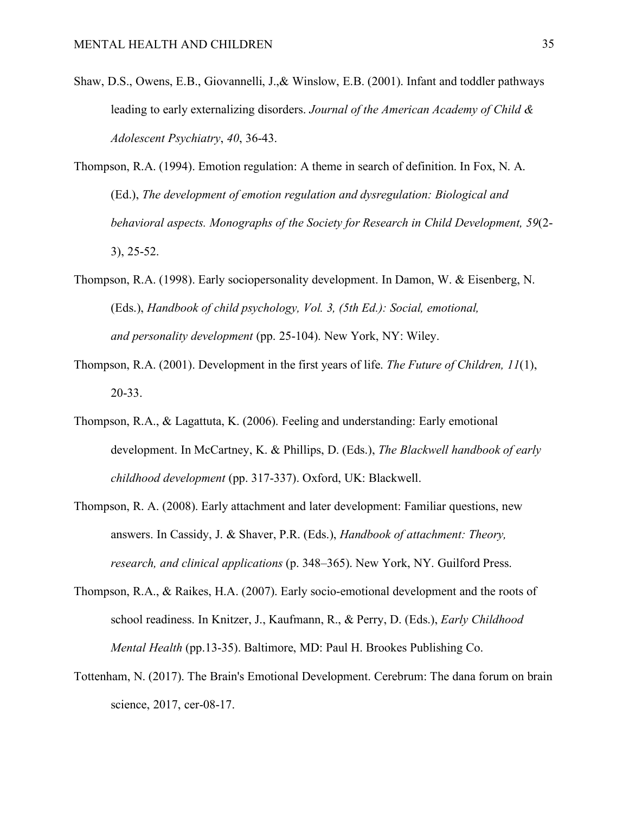- Shaw, D.S., Owens, E.B., Giovannelli, J.,& Winslow, E.B. (2001). Infant and toddler pathways leading to early externalizing disorders. *Journal of the American Academy of Child & Adolescent Psychiatry*, *40*, 36-43.
- Thompson, R.A. (1994). Emotion regulation: A theme in search of definition. In Fox, N. A. (Ed.), *The development of emotion regulation and dysregulation: Biological and behavioral aspects. Monographs of the Society for Research in Child Development, 59*(2- 3), 25-52.
- Thompson, R.A. (1998). Early sociopersonality development. In Damon, W. & Eisenberg, N. (Eds.), *Handbook of child psychology, Vol. 3, (5th Ed.): Social, emotional, and personality development* (pp. 25-104). New York, NY: Wiley.
- Thompson, R.A. (2001). Development in the first years of life. *The Future of Children, 11*(1), 20-33.
- Thompson, R.A., & Lagattuta, K. (2006). Feeling and understanding: Early emotional development. In McCartney, K. & Phillips, D. (Eds.), *The Blackwell handbook of early childhood development* (pp. 317-337). Oxford, UK: Blackwell.
- Thompson, R. A. (2008). Early attachment and later development: Familiar questions, new answers. In Cassidy, J. & Shaver, P.R. (Eds.), *Handbook of attachment: Theory, research, and clinical applications* (p. 348–365). New York, NY. Guilford Press.
- Thompson, R.A., & Raikes, H.A. (2007). Early socio-emotional development and the roots of school readiness. In Knitzer, J., Kaufmann, R., & Perry, D. (Eds.), *Early Childhood Mental Health* (pp.13-35). Baltimore, MD: Paul H. Brookes Publishing Co.
- Tottenham, N. (2017). The Brain's Emotional Development. Cerebrum: The dana forum on brain science, 2017, cer-08-17.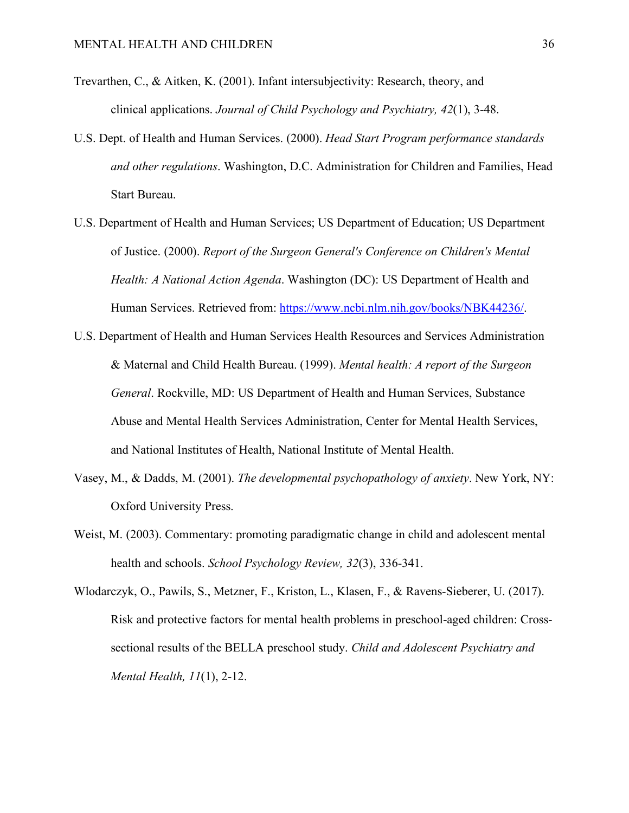- Trevarthen, C., & Aitken, K. (2001). Infant intersubjectivity: Research, theory, and clinical applications. *Journal of Child Psychology and Psychiatry, 42*(1), 3-48.
- U.S. Dept. of Health and Human Services. (2000). *Head Start Program performance standards and other regulations*. Washington, D.C. Administration for Children and Families, Head Start Bureau.
- U.S. Department of Health and Human Services; US Department of Education; US Department of Justice. (2000). *Report of the Surgeon General's Conference on Children's Mental Health: A National Action Agenda*. Washington (DC): US Department of Health and Human Services. Retrieved from: https://www.ncbi.nlm.nih.gov/books/NBK44236/.
- U.S. Department of Health and Human Services Health Resources and Services Administration & Maternal and Child Health Bureau. (1999). *Mental health: A report of the Surgeon General*. Rockville, MD: US Department of Health and Human Services, Substance Abuse and Mental Health Services Administration, Center for Mental Health Services, and National Institutes of Health, National Institute of Mental Health.
- Vasey, M., & Dadds, M. (2001). *The developmental psychopathology of anxiety*. New York, NY: Oxford University Press.
- Weist, M. (2003). Commentary: promoting paradigmatic change in child and adolescent mental health and schools. *School Psychology Review, 32*(3), 336-341.
- Wlodarczyk, O., Pawils, S., Metzner, F., Kriston, L., Klasen, F., & Ravens-Sieberer, U. (2017). Risk and protective factors for mental health problems in preschool-aged children: Crosssectional results of the BELLA preschool study. *Child and Adolescent Psychiatry and Mental Health, 11*(1), 2-12.